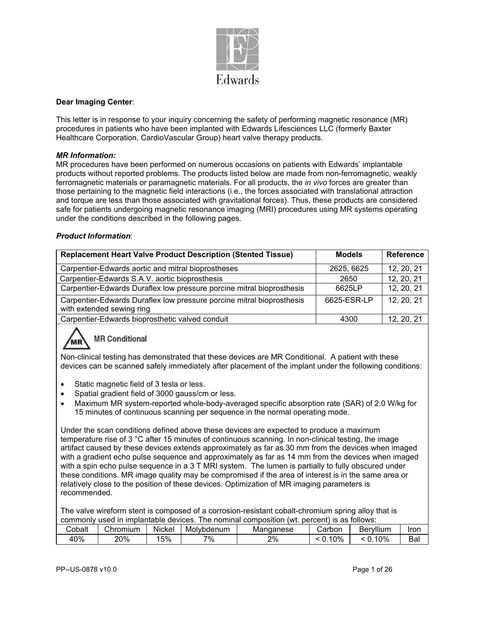

#### **Dear Imaging Center**:

This letter is in response to your inquiry concerning the safety of performing magnetic resonance (MR) procedures in patients who have been implanted with Edwards Lifesciences LLC (formerly Baxter Healthcare Corporation, CardioVascular Group) heart valve therapy products.

#### *MR Information:*

MR procedures have been performed on numerous occasions on patients with Edwards' implantable products without reported problems. The products listed below are made from non-ferromagnetic, weakly ferromagnetic materials or paramagnetic materials. For all products, the *in vivo* forces are greater than those pertaining to the magnetic field interactions (i.e., the forces associated with translational attraction and torque are less than those associated with gravitational forces). Thus, these products are considered safe for patients undergoing magnetic resonance imaging (MRI) procedures using MR systems operating under the conditions described in the following pages.

#### *Product Information*:

| <b>Replacement Heart Valve Product Description (Stented Tissue)</b>                                | <b>Models</b> | <b>Reference</b> |
|----------------------------------------------------------------------------------------------------|---------------|------------------|
| Carpentier-Edwards aortic and mitral bioprostheses                                                 | 2625, 6625    | 12, 20, 21       |
| Carpentier-Edwards S.A.V. aortic bioprosthesis                                                     | 2650          | 12, 20, 21       |
| Carpentier-Edwards Duraflex low pressure porcine mitral bioprosthesis                              | 6625LP        | 12, 20, 21       |
| Carpentier-Edwards Duraflex low pressure porcine mitral bioprosthesis<br>with extended sewing ring | 6625-ESR-LP   | 12, 20, 21       |
| Carpentier-Edwards bioprosthetic valved conduit                                                    | 4300          | 12, 20, 21       |



Non-clinical testing has demonstrated that these devices are MR Conditional. A patient with these devices can be scanned safely immediately after placement of the implant under the following conditions:

- Static magnetic field of 3 tesla or less.
- Spatial gradient field of 3000 gauss/cm or less.
- Maximum MR system-reported whole-body-averaged specific absorption rate (SAR) of 2.0 W/kg for 15 minutes of continuous scanning per sequence in the normal operating mode.

Under the scan conditions defined above these devices are expected to produce a maximum temperature rise of 3 °C after 15 minutes of continuous scanning. In non-clinical testing, the image artifact caused by these devices extends approximately as far as 30 mm from the devices when imaged with a gradient echo pulse sequence and approximately as far as 14 mm from the devices when imaged with a spin echo pulse sequence in a 3 T MRI system. The lumen is partially to fully obscured under these conditions. MR image quality may be compromised if the area of interest is in the same area or relatively close to the position of these devices. Optimization of MR imaging parameters is recommended.

The valve wireform stent is composed of a corrosion-resistant cobalt-chromium spring alloy that is commonly used in implantable devices. The nominal composition (wt. percent) is as follows:

| $\sim$<br>Cobalt | Chromium | .<br><b>Nickel</b> | Molvbdenum | Mandanese | Carbon | $\cdots$<br>Bervillum | Iror          |
|------------------|----------|--------------------|------------|-----------|--------|-----------------------|---------------|
| 40%              | 20%      | 5%                 | 7%         | 2%        | $0\%$  | 10%<br><b>A</b>       | $\sim$<br>Вal |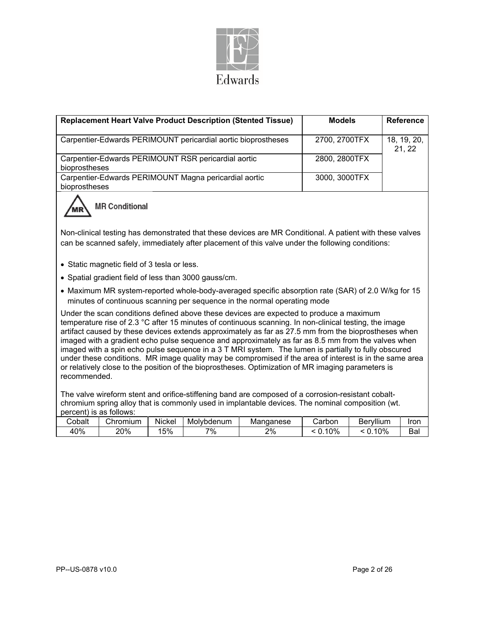

| <b>Replacement Heart Valve Product Description (Stented Tissue)</b>                                                                                                                                                                                                                                                                                                                                                                                                                                                                                                                                                                                                                                                                                      | <b>Models</b> | <b>Reference</b>      |  |  |  |  |  |
|----------------------------------------------------------------------------------------------------------------------------------------------------------------------------------------------------------------------------------------------------------------------------------------------------------------------------------------------------------------------------------------------------------------------------------------------------------------------------------------------------------------------------------------------------------------------------------------------------------------------------------------------------------------------------------------------------------------------------------------------------------|---------------|-----------------------|--|--|--|--|--|
| Carpentier-Edwards PERIMOUNT pericardial aortic bioprostheses                                                                                                                                                                                                                                                                                                                                                                                                                                                                                                                                                                                                                                                                                            | 2700, 2700TFX | 18, 19, 20,<br>21, 22 |  |  |  |  |  |
| Carpentier-Edwards PERIMOUNT RSR pericardial aortic<br>bioprostheses                                                                                                                                                                                                                                                                                                                                                                                                                                                                                                                                                                                                                                                                                     | 2800, 2800TFX |                       |  |  |  |  |  |
| Carpentier-Edwards PERIMOUNT Magna pericardial aortic<br>bioprostheses                                                                                                                                                                                                                                                                                                                                                                                                                                                                                                                                                                                                                                                                                   | 3000, 3000TFX |                       |  |  |  |  |  |
| <b>MR Conditional</b><br>Non-clinical testing has demonstrated that these devices are MR Conditional. A patient with these valves                                                                                                                                                                                                                                                                                                                                                                                                                                                                                                                                                                                                                        |               |                       |  |  |  |  |  |
| can be scanned safely, immediately after placement of this valve under the following conditions:                                                                                                                                                                                                                                                                                                                                                                                                                                                                                                                                                                                                                                                         |               |                       |  |  |  |  |  |
| • Static magnetic field of 3 tesla or less.                                                                                                                                                                                                                                                                                                                                                                                                                                                                                                                                                                                                                                                                                                              |               |                       |  |  |  |  |  |
| • Spatial gradient field of less than 3000 gauss/cm.                                                                                                                                                                                                                                                                                                                                                                                                                                                                                                                                                                                                                                                                                                     |               |                       |  |  |  |  |  |
| • Maximum MR system-reported whole-body-averaged specific absorption rate (SAR) of 2.0 W/kg for 15<br>minutes of continuous scanning per sequence in the normal operating mode                                                                                                                                                                                                                                                                                                                                                                                                                                                                                                                                                                           |               |                       |  |  |  |  |  |
| Under the scan conditions defined above these devices are expected to produce a maximum<br>temperature rise of 2.3 °C after 15 minutes of continuous scanning. In non-clinical testing, the image<br>artifact caused by these devices extends approximately as far as 27.5 mm from the bioprostheses when<br>imaged with a gradient echo pulse sequence and approximately as far as 8.5 mm from the valves when<br>imaged with a spin echo pulse sequence in a 3 T MRI system. The lumen is partially to fully obscured<br>under these conditions. MR image quality may be compromised if the area of interest is in the same area<br>or relatively close to the position of the bioprostheses. Optimization of MR imaging parameters is<br>recommended. |               |                       |  |  |  |  |  |
| The valve wireform stent and orifice-stiffening band are composed of a corrosion-resistant cobalt-<br>chromium spring alloy that is commonly used in implantable devices. The nominal composition (wt.<br>nercent) is as follows:                                                                                                                                                                                                                                                                                                                                                                                                                                                                                                                        |               |                       |  |  |  |  |  |

|        | DEI CEITU IS AS IUIIUWS. |             |            |           |           |           |      |  |  |  |
|--------|--------------------------|-------------|------------|-----------|-----------|-----------|------|--|--|--|
| Cobalt | Chromium                 | .<br>Nickel | Molybdenum | Mandanese | Carbon    | Beryllium | Iror |  |  |  |
| 40%    | 20%                      | 5%          | 7%         | 2%        | 10%<br>U. | 10%       | Ba   |  |  |  |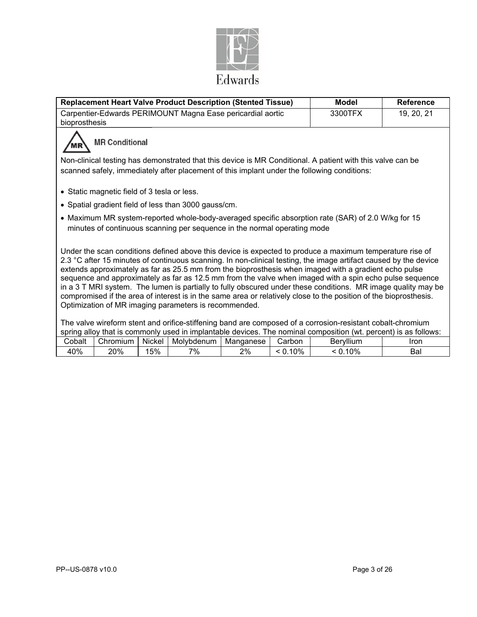

| <b>Replacement Heart Valve Product Description (Stented Tissue)</b>                                                                                                                                                                                                                                                                                                                                                                                                                                                                                                                                                                                                                                                                             | <b>Model</b> | <b>Reference</b> |
|-------------------------------------------------------------------------------------------------------------------------------------------------------------------------------------------------------------------------------------------------------------------------------------------------------------------------------------------------------------------------------------------------------------------------------------------------------------------------------------------------------------------------------------------------------------------------------------------------------------------------------------------------------------------------------------------------------------------------------------------------|--------------|------------------|
| Carpentier-Edwards PERIMOUNT Magna Ease pericardial aortic<br>bioprosthesis                                                                                                                                                                                                                                                                                                                                                                                                                                                                                                                                                                                                                                                                     | 3300TFX      | 19, 20, 21       |
| <b>MR Conditional</b><br>Non-clinical testing has demonstrated that this device is MR Conditional. A patient with this valve can be<br>scanned safely, immediately after placement of this implant under the following conditions:                                                                                                                                                                                                                                                                                                                                                                                                                                                                                                              |              |                  |
| • Static magnetic field of 3 tesla or less.                                                                                                                                                                                                                                                                                                                                                                                                                                                                                                                                                                                                                                                                                                     |              |                  |
| • Spatial gradient field of less than 3000 gauss/cm.                                                                                                                                                                                                                                                                                                                                                                                                                                                                                                                                                                                                                                                                                            |              |                  |
| • Maximum MR system-reported whole-body-averaged specific absorption rate (SAR) of 2.0 W/kg for 15<br>minutes of continuous scanning per sequence in the normal operating mode                                                                                                                                                                                                                                                                                                                                                                                                                                                                                                                                                                  |              |                  |
| Under the scan conditions defined above this device is expected to produce a maximum temperature rise of<br>2.3 °C after 15 minutes of continuous scanning. In non-clinical testing, the image artifact caused by the device<br>extends approximately as far as 25.5 mm from the bioprosthesis when imaged with a gradient echo pulse<br>sequence and approximately as far as 12.5 mm from the valve when imaged with a spin echo pulse sequence<br>in a 3 T MRI system. The lumen is partially to fully obscured under these conditions. MR image quality may be<br>compromised if the area of interest is in the same area or relatively close to the position of the bioprosthesis.<br>Optimization of MR imaging parameters is recommended. |              |                  |
| The valve wireform stent and orifice-stiffening band are composed of a corrosion-resistant cobalt-chromium<br>spring alloy that is commonly used in implantable devices. The nominal composition (wt. percent) is as follows:                                                                                                                                                                                                                                                                                                                                                                                                                                                                                                                   |              |                  |

| <b>SPHIRE</b> |          |        | allov tilat is commonly used in implainable devices. |           |          | THE HUITING COMPOSITOR (WE DELGETED IS AS TUIDWS. |      |
|---------------|----------|--------|------------------------------------------------------|-----------|----------|---------------------------------------------------|------|
| Cobalt        | Chromium | Nickel | Molvbdenum                                           | Manganese | شcarbon. | Bervllium                                         | Iror |
| 40%           | 20%      | 15%    | 7%                                                   | 2%        | 10%      | 10%                                               | Bal  |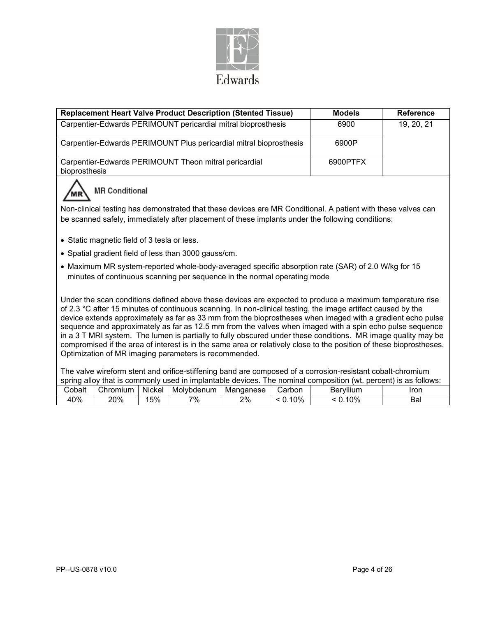

| <b>Replacement Heart Valve Product Description (Stented Tissue)</b>                                                                                                                                                                                                                                                                                                                                                                                                                                                                                                                                                                                                                                                                                 | <b>Models</b> | <b>Reference</b> |
|-----------------------------------------------------------------------------------------------------------------------------------------------------------------------------------------------------------------------------------------------------------------------------------------------------------------------------------------------------------------------------------------------------------------------------------------------------------------------------------------------------------------------------------------------------------------------------------------------------------------------------------------------------------------------------------------------------------------------------------------------------|---------------|------------------|
| Carpentier-Edwards PERIMOUNT pericardial mitral bioprosthesis                                                                                                                                                                                                                                                                                                                                                                                                                                                                                                                                                                                                                                                                                       | 6900          | 19, 20, 21       |
| Carpentier-Edwards PERIMOUNT Plus pericardial mitral bioprosthesis                                                                                                                                                                                                                                                                                                                                                                                                                                                                                                                                                                                                                                                                                  | 6900P         |                  |
| Carpentier-Edwards PERIMOUNT Theon mitral pericardial<br>bioprosthesis                                                                                                                                                                                                                                                                                                                                                                                                                                                                                                                                                                                                                                                                              | 6900PTFX      |                  |
| <b>MR Conditional</b>                                                                                                                                                                                                                                                                                                                                                                                                                                                                                                                                                                                                                                                                                                                               |               |                  |
| Non-clinical testing has demonstrated that these devices are MR Conditional. A patient with these valves can<br>be scanned safely, immediately after placement of these implants under the following conditions:                                                                                                                                                                                                                                                                                                                                                                                                                                                                                                                                    |               |                  |
| • Static magnetic field of 3 tesla or less.                                                                                                                                                                                                                                                                                                                                                                                                                                                                                                                                                                                                                                                                                                         |               |                  |
| • Spatial gradient field of less than 3000 gauss/cm.                                                                                                                                                                                                                                                                                                                                                                                                                                                                                                                                                                                                                                                                                                |               |                  |
| • Maximum MR system-reported whole-body-averaged specific absorption rate (SAR) of 2.0 W/kg for 15<br>minutes of continuous scanning per sequence in the normal operating mode                                                                                                                                                                                                                                                                                                                                                                                                                                                                                                                                                                      |               |                  |
| Under the scan conditions defined above these devices are expected to produce a maximum temperature rise<br>of 2.3 °C after 15 minutes of continuous scanning. In non-clinical testing, the image artifact caused by the<br>device extends approximately as far as 33 mm from the bioprostheses when imaged with a gradient echo pulse<br>sequence and approximately as far as 12.5 mm from the valves when imaged with a spin echo pulse sequence<br>in a 3 T MRI system. The lumen is partially to fully obscured under these conditions. MR image quality may be<br>compromised if the area of interest is in the same area or relatively close to the position of these bioprostheses.<br>Optimization of MR imaging parameters is recommended. |               |                  |
| The valve wireform stent and orifice-stiffening band are composed of a corrosion-resistant cobalt-chromium<br>spring alloy that is commonly used in implantable devices. The nominal composition (wt. percent) is as follows:                                                                                                                                                                                                                                                                                                                                                                                                                                                                                                                       |               |                  |
| Nickel   Molybdenum   Manganese<br>Cobalt<br>Chromium  <br>Carbon                                                                                                                                                                                                                                                                                                                                                                                                                                                                                                                                                                                                                                                                                   | Beryllium     | Iron             |

40% 20% 15% 7% 2% < 0.10% < 0.10% Bal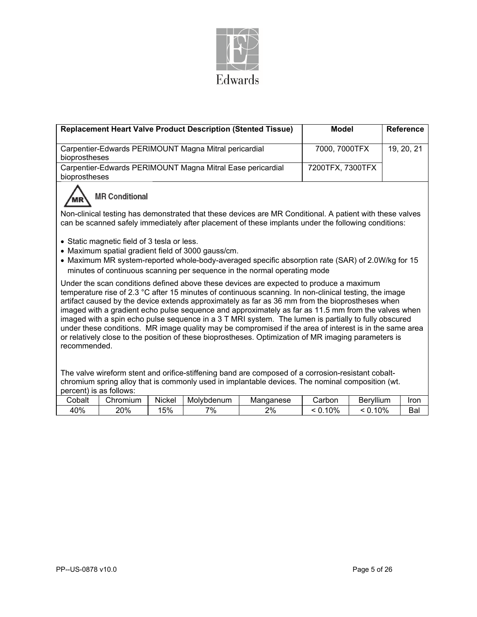

|                         |                                                                                                                                                                                                        |        | <b>Replacement Heart Valve Product Description (Stented Tissue)</b> |                                                                                                                                                                                                        | <b>Model</b>     |           | Reference  |  |
|-------------------------|--------------------------------------------------------------------------------------------------------------------------------------------------------------------------------------------------------|--------|---------------------------------------------------------------------|--------------------------------------------------------------------------------------------------------------------------------------------------------------------------------------------------------|------------------|-----------|------------|--|
|                         |                                                                                                                                                                                                        |        | Carpentier-Edwards PERIMOUNT Magna Mitral pericardial               |                                                                                                                                                                                                        | 7000, 7000TFX    |           | 19, 20, 21 |  |
| bioprostheses           |                                                                                                                                                                                                        |        |                                                                     |                                                                                                                                                                                                        |                  |           |            |  |
|                         |                                                                                                                                                                                                        |        | Carpentier-Edwards PERIMOUNT Magna Mitral Ease pericardial          |                                                                                                                                                                                                        | 7200TFX, 7300TFX |           |            |  |
| bioprostheses           |                                                                                                                                                                                                        |        |                                                                     |                                                                                                                                                                                                        |                  |           |            |  |
|                         | <b>MR Conditional</b>                                                                                                                                                                                  |        |                                                                     |                                                                                                                                                                                                        |                  |           |            |  |
|                         |                                                                                                                                                                                                        |        |                                                                     | Non-clinical testing has demonstrated that these devices are MR Conditional. A patient with these valves                                                                                               |                  |           |            |  |
|                         |                                                                                                                                                                                                        |        |                                                                     | can be scanned safely immediately after placement of these implants under the following conditions:                                                                                                    |                  |           |            |  |
|                         | • Static magnetic field of 3 tesla or less.                                                                                                                                                            |        |                                                                     |                                                                                                                                                                                                        |                  |           |            |  |
|                         |                                                                                                                                                                                                        |        | • Maximum spatial gradient field of 3000 gauss/cm.                  |                                                                                                                                                                                                        |                  |           |            |  |
|                         |                                                                                                                                                                                                        |        |                                                                     | • Maximum MR system-reported whole-body-averaged specific absorption rate (SAR) of 2.0W/kg for 15<br>minutes of continuous scanning per sequence in the normal operating mode                          |                  |           |            |  |
|                         |                                                                                                                                                                                                        |        |                                                                     | Under the scan conditions defined above these devices are expected to produce a maximum                                                                                                                |                  |           |            |  |
|                         |                                                                                                                                                                                                        |        |                                                                     | temperature rise of 2.3 °C after 15 minutes of continuous scanning. In non-clinical testing, the image                                                                                                 |                  |           |            |  |
|                         |                                                                                                                                                                                                        |        |                                                                     | artifact caused by the device extends approximately as far as 36 mm from the bioprostheses when<br>imaged with a gradient echo pulse sequence and approximately as far as 11.5 mm from the valves when |                  |           |            |  |
|                         |                                                                                                                                                                                                        |        |                                                                     | imaged with a spin echo pulse sequence in a 3 T MRI system. The lumen is partially to fully obscured                                                                                                   |                  |           |            |  |
|                         |                                                                                                                                                                                                        |        |                                                                     | under these conditions. MR image quality may be compromised if the area of interest is in the same area                                                                                                |                  |           |            |  |
| recommended.            |                                                                                                                                                                                                        |        |                                                                     | or relatively close to the position of these bioprostheses. Optimization of MR imaging parameters is                                                                                                   |                  |           |            |  |
|                         |                                                                                                                                                                                                        |        |                                                                     |                                                                                                                                                                                                        |                  |           |            |  |
|                         |                                                                                                                                                                                                        |        |                                                                     |                                                                                                                                                                                                        |                  |           |            |  |
|                         | The valve wireform stent and orifice-stiffening band are composed of a corrosion-resistant cobalt-<br>chromium spring alloy that is commonly used in implantable devices. The nominal composition (wt. |        |                                                                     |                                                                                                                                                                                                        |                  |           |            |  |
| percent) is as follows: |                                                                                                                                                                                                        |        |                                                                     |                                                                                                                                                                                                        |                  |           |            |  |
| Cobalt                  | Chromium                                                                                                                                                                                               | Nickel | Molybdenum                                                          | Manganese                                                                                                                                                                                              | Carbon           | Beryllium | Iron       |  |
| 40%                     | 20%                                                                                                                                                                                                    | 15%    | 7%                                                                  | 2%                                                                                                                                                                                                     | < 0.10%          | < 0.10%   | Bal        |  |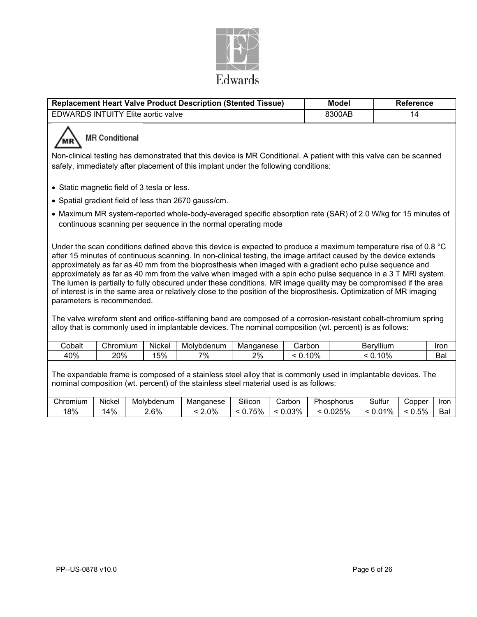

|                                                                                                                                                                                                           |                                                                                                                                                                                                                                                                                                                                                                                                                                                                                                                                                                                                                                                                                                                                                                                                                                                                  |        | <b>Replacement Heart Valve Product Description (Stented Tissue)</b>                                                                                                            |           |         | <b>Model</b> | Reference  |      |
|-----------------------------------------------------------------------------------------------------------------------------------------------------------------------------------------------------------|------------------------------------------------------------------------------------------------------------------------------------------------------------------------------------------------------------------------------------------------------------------------------------------------------------------------------------------------------------------------------------------------------------------------------------------------------------------------------------------------------------------------------------------------------------------------------------------------------------------------------------------------------------------------------------------------------------------------------------------------------------------------------------------------------------------------------------------------------------------|--------|--------------------------------------------------------------------------------------------------------------------------------------------------------------------------------|-----------|---------|--------------|------------|------|
|                                                                                                                                                                                                           | <b>EDWARDS INTUITY Elite aortic valve</b>                                                                                                                                                                                                                                                                                                                                                                                                                                                                                                                                                                                                                                                                                                                                                                                                                        |        |                                                                                                                                                                                |           |         | 8300AB       | 14         |      |
| <b>MR Conditional</b>                                                                                                                                                                                     |                                                                                                                                                                                                                                                                                                                                                                                                                                                                                                                                                                                                                                                                                                                                                                                                                                                                  |        |                                                                                                                                                                                |           |         |              |            |      |
| Non-clinical testing has demonstrated that this device is MR Conditional. A patient with this valve can be scanned<br>safely, immediately after placement of this implant under the following conditions: |                                                                                                                                                                                                                                                                                                                                                                                                                                                                                                                                                                                                                                                                                                                                                                                                                                                                  |        |                                                                                                                                                                                |           |         |              |            |      |
|                                                                                                                                                                                                           | • Static magnetic field of 3 tesla or less.                                                                                                                                                                                                                                                                                                                                                                                                                                                                                                                                                                                                                                                                                                                                                                                                                      |        |                                                                                                                                                                                |           |         |              |            |      |
|                                                                                                                                                                                                           |                                                                                                                                                                                                                                                                                                                                                                                                                                                                                                                                                                                                                                                                                                                                                                                                                                                                  |        | • Spatial gradient field of less than 2670 gauss/cm.                                                                                                                           |           |         |              |            |      |
|                                                                                                                                                                                                           |                                                                                                                                                                                                                                                                                                                                                                                                                                                                                                                                                                                                                                                                                                                                                                                                                                                                  |        | • Maximum MR system-reported whole-body-averaged specific absorption rate (SAR) of 2.0 W/kg for 15 minutes of<br>continuous scanning per sequence in the normal operating mode |           |         |              |            |      |
|                                                                                                                                                                                                           | Under the scan conditions defined above this device is expected to produce a maximum temperature rise of 0.8 °C<br>after 15 minutes of continuous scanning. In non-clinical testing, the image artifact caused by the device extends<br>approximately as far as 40 mm from the bioprosthesis when imaged with a gradient echo pulse sequence and<br>approximately as far as 40 mm from the valve when imaged with a spin echo pulse sequence in a 3 T MRI system.<br>The lumen is partially to fully obscured under these conditions. MR image quality may be compromised if the area<br>of interest is in the same area or relatively close to the position of the bioprosthesis. Optimization of MR imaging<br>parameters is recommended.<br>The valve wireform stent and orifice-stiffening band are composed of a corrosion-resistant cobalt-chromium spring |        |                                                                                                                                                                                |           |         |              |            |      |
| alloy that is commonly used in implantable devices. The nominal composition (wt. percent) is as follows:                                                                                                  |                                                                                                                                                                                                                                                                                                                                                                                                                                                                                                                                                                                                                                                                                                                                                                                                                                                                  |        |                                                                                                                                                                                |           |         |              |            |      |
| Cobalt                                                                                                                                                                                                    | Chromium                                                                                                                                                                                                                                                                                                                                                                                                                                                                                                                                                                                                                                                                                                                                                                                                                                                         | Nickel | Molybdenum                                                                                                                                                                     | Manganese | Carbon  |              | Beryllium  | Iron |
| 40%                                                                                                                                                                                                       | 20%                                                                                                                                                                                                                                                                                                                                                                                                                                                                                                                                                                                                                                                                                                                                                                                                                                                              | 15%    | 7%                                                                                                                                                                             | $2\%$     | < 0.10% |              | $< 0.10\%$ | Bal  |
|                                                                                                                                                                                                           |                                                                                                                                                                                                                                                                                                                                                                                                                                                                                                                                                                                                                                                                                                                                                                                                                                                                  |        |                                                                                                                                                                                |           |         |              |            |      |

The expandable frame is composed of a stainless steel alloy that is commonly used in implantable devices. The nominal composition (wt. percent) of the stainless steel material used is as follows:

| hromium- | Nickel | Molvbdenum | Manganese | ~…<br>Silicon | Carbon | Phosphorus | ulfurد<br>$\overline{\phantom{0}}$ | Copper | Iron     |
|----------|--------|------------|-----------|---------------|--------|------------|------------------------------------|--------|----------|
| 18%      | 4%     | 2.6%       | 0%        | 75%<br>. v. . | .03%   | .025%      | 21%<br>⌒<br>v.v                    | 5%     | -<br>Bal |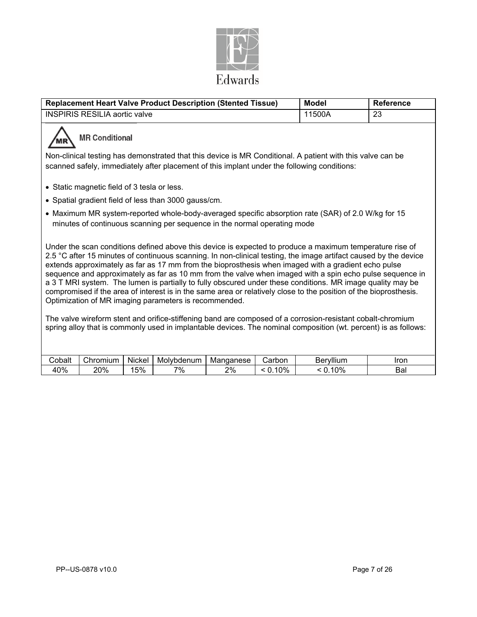

| <b>Replacement Heart Valve Product Description (Stented Tissue)</b><br><b>Model</b><br><b>Reference</b> |                                                                                                                                                                                                                                                                                                                                                                                                                                                                                                                                                                                                                                                                                                                                                                                                                                                                                                                                                                              |               |                                                      |                 |                   |                      |             |  |  |
|---------------------------------------------------------------------------------------------------------|------------------------------------------------------------------------------------------------------------------------------------------------------------------------------------------------------------------------------------------------------------------------------------------------------------------------------------------------------------------------------------------------------------------------------------------------------------------------------------------------------------------------------------------------------------------------------------------------------------------------------------------------------------------------------------------------------------------------------------------------------------------------------------------------------------------------------------------------------------------------------------------------------------------------------------------------------------------------------|---------------|------------------------------------------------------|-----------------|-------------------|----------------------|-------------|--|--|
|                                                                                                         | <b>INSPIRIS RESILIA aortic valve</b><br>11500A<br>23                                                                                                                                                                                                                                                                                                                                                                                                                                                                                                                                                                                                                                                                                                                                                                                                                                                                                                                         |               |                                                      |                 |                   |                      |             |  |  |
|                                                                                                         | <b>MR Conditional</b>                                                                                                                                                                                                                                                                                                                                                                                                                                                                                                                                                                                                                                                                                                                                                                                                                                                                                                                                                        |               |                                                      |                 |                   |                      |             |  |  |
|                                                                                                         | Non-clinical testing has demonstrated that this device is MR Conditional. A patient with this valve can be<br>scanned safely, immediately after placement of this implant under the following conditions:                                                                                                                                                                                                                                                                                                                                                                                                                                                                                                                                                                                                                                                                                                                                                                    |               |                                                      |                 |                   |                      |             |  |  |
|                                                                                                         | • Static magnetic field of 3 tesla or less.                                                                                                                                                                                                                                                                                                                                                                                                                                                                                                                                                                                                                                                                                                                                                                                                                                                                                                                                  |               |                                                      |                 |                   |                      |             |  |  |
|                                                                                                         |                                                                                                                                                                                                                                                                                                                                                                                                                                                                                                                                                                                                                                                                                                                                                                                                                                                                                                                                                                              |               | • Spatial gradient field of less than 3000 gauss/cm. |                 |                   |                      |             |  |  |
|                                                                                                         | • Maximum MR system-reported whole-body-averaged specific absorption rate (SAR) of 2.0 W/kg for 15<br>minutes of continuous scanning per sequence in the normal operating mode                                                                                                                                                                                                                                                                                                                                                                                                                                                                                                                                                                                                                                                                                                                                                                                               |               |                                                      |                 |                   |                      |             |  |  |
|                                                                                                         | Under the scan conditions defined above this device is expected to produce a maximum temperature rise of<br>2.5 °C after 15 minutes of continuous scanning. In non-clinical testing, the image artifact caused by the device<br>extends approximately as far as 17 mm from the bioprosthesis when imaged with a gradient echo pulse<br>sequence and approximately as far as 10 mm from the valve when imaged with a spin echo pulse sequence in<br>a 3 T MRI system. The lumen is partially to fully obscured under these conditions. MR image quality may be<br>compromised if the area of interest is in the same area or relatively close to the position of the bioprosthesis.<br>Optimization of MR imaging parameters is recommended.<br>The valve wireform stent and orifice-stiffening band are composed of a corrosion-resistant cobalt-chromium<br>spring alloy that is commonly used in implantable devices. The nominal composition (wt. percent) is as follows: |               |                                                      |                 |                   |                      |             |  |  |
|                                                                                                         |                                                                                                                                                                                                                                                                                                                                                                                                                                                                                                                                                                                                                                                                                                                                                                                                                                                                                                                                                                              |               |                                                      |                 |                   |                      |             |  |  |
| Cobalt<br>40%                                                                                           | Chromium<br>20%                                                                                                                                                                                                                                                                                                                                                                                                                                                                                                                                                                                                                                                                                                                                                                                                                                                                                                                                                              | Nickel<br>15% | Molybdenum<br>7%                                     | Manganese<br>2% | Carbon<br>< 0.10% | Beryllium<br>< 0.10% | Iron<br>Bal |  |  |
|                                                                                                         |                                                                                                                                                                                                                                                                                                                                                                                                                                                                                                                                                                                                                                                                                                                                                                                                                                                                                                                                                                              |               |                                                      |                 |                   |                      |             |  |  |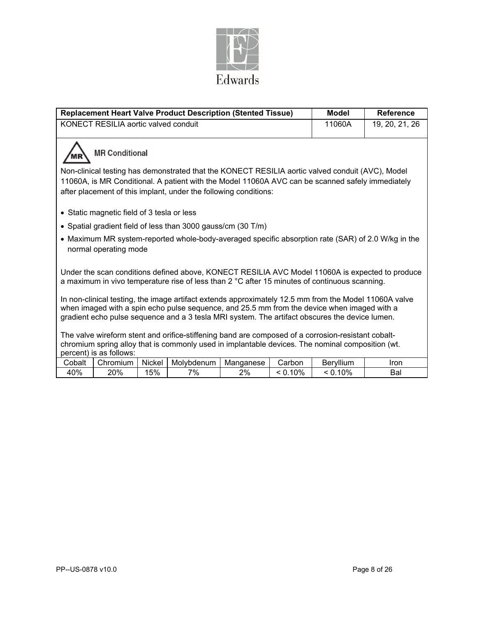

|        |                                            |        | <b>Replacement Heart Valve Product Description (Stented Tissue)</b>                                                                                                                                                                                                                                    |                |         | <b>Model</b> | <b>Reference</b>                                                                                 |
|--------|--------------------------------------------|--------|--------------------------------------------------------------------------------------------------------------------------------------------------------------------------------------------------------------------------------------------------------------------------------------------------------|----------------|---------|--------------|--------------------------------------------------------------------------------------------------|
|        | KONECT RESILIA aortic valved conduit       |        | 11060A                                                                                                                                                                                                                                                                                                 | 19, 20, 21, 26 |         |              |                                                                                                  |
|        | <b>MR Conditional</b>                      |        |                                                                                                                                                                                                                                                                                                        |                |         |              |                                                                                                  |
|        |                                            |        | Non-clinical testing has demonstrated that the KONECT RESILIA aortic valved conduit (AVC), Model<br>11060A, is MR Conditional. A patient with the Model 11060A AVC can be scanned safely immediately<br>after placement of this implant, under the following conditions:                               |                |         |              |                                                                                                  |
|        | • Static magnetic field of 3 tesla or less |        |                                                                                                                                                                                                                                                                                                        |                |         |              |                                                                                                  |
|        |                                            |        | • Spatial gradient field of less than 3000 gauss/cm (30 T/m)                                                                                                                                                                                                                                           |                |         |              |                                                                                                  |
|        | normal operating mode                      |        |                                                                                                                                                                                                                                                                                                        |                |         |              | Maximum MR system-reported whole-body-averaged specific absorption rate (SAR) of 2.0 W/kg in the |
|        |                                            |        | a maximum in vivo temperature rise of less than 2 °C after 15 minutes of continuous scanning.                                                                                                                                                                                                          |                |         |              | Under the scan conditions defined above, KONECT RESILIA AVC Model 11060A is expected to produce  |
|        |                                            |        | In non-clinical testing, the image artifact extends approximately 12.5 mm from the Model 11060A valve<br>when imaged with a spin echo pulse sequence, and 25.5 mm from the device when imaged with a<br>gradient echo pulse sequence and a 3 tesla MRI system. The artifact obscures the device lumen. |                |         |              |                                                                                                  |
|        | percent) is as follows:                    |        | The valve wireform stent and orifice-stiffening band are composed of a corrosion-resistant cobalt-<br>chromium spring alloy that is commonly used in implantable devices. The nominal composition (wt.                                                                                                 |                |         |              |                                                                                                  |
| Cobalt | Chromium                                   | Nickel | Molybdenum                                                                                                                                                                                                                                                                                             | Manganese      | Carbon  | Beryllium    | <b>Iron</b>                                                                                      |
| 40%    | 20%                                        | 15%    | 7%                                                                                                                                                                                                                                                                                                     | 2%             | < 0.10% | < 0.10%      | Bal                                                                                              |

l,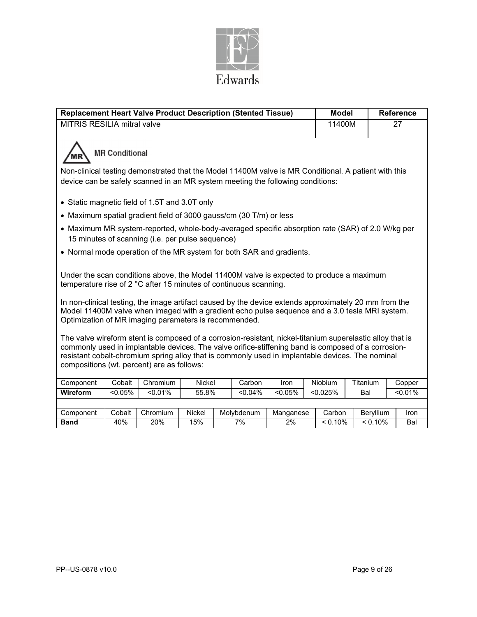

| <b>Replacement Heart Valve Product Description (Stented Tissue)</b>                                                                                                                                                                                                                                                                                                                                                               |            |                                                  |        |  |            |            |  | <b>Model</b> |          |           | <b>Reference</b> |
|-----------------------------------------------------------------------------------------------------------------------------------------------------------------------------------------------------------------------------------------------------------------------------------------------------------------------------------------------------------------------------------------------------------------------------------|------------|--------------------------------------------------|--------|--|------------|------------|--|--------------|----------|-----------|------------------|
| <b>MITRIS RESILIA mitral valve</b>                                                                                                                                                                                                                                                                                                                                                                                                |            |                                                  |        |  |            |            |  | 11400M       |          |           | 27               |
| <b>MR Conditional</b>                                                                                                                                                                                                                                                                                                                                                                                                             |            |                                                  |        |  |            |            |  |              |          |           |                  |
| Non-clinical testing demonstrated that the Model 11400M valve is MR Conditional. A patient with this<br>device can be safely scanned in an MR system meeting the following conditions:                                                                                                                                                                                                                                            |            |                                                  |        |  |            |            |  |              |          |           |                  |
| • Static magnetic field of 1.5T and 3.0T only                                                                                                                                                                                                                                                                                                                                                                                     |            |                                                  |        |  |            |            |  |              |          |           |                  |
| • Maximum spatial gradient field of 3000 gauss/cm (30 T/m) or less                                                                                                                                                                                                                                                                                                                                                                |            |                                                  |        |  |            |            |  |              |          |           |                  |
| • Maximum MR system-reported, whole-body-averaged specific absorption rate (SAR) of 2.0 W/kg per                                                                                                                                                                                                                                                                                                                                  |            | 15 minutes of scanning (i.e. per pulse sequence) |        |  |            |            |  |              |          |           |                  |
| • Normal mode operation of the MR system for both SAR and gradients.                                                                                                                                                                                                                                                                                                                                                              |            |                                                  |        |  |            |            |  |              |          |           |                  |
| Under the scan conditions above, the Model 11400M valve is expected to produce a maximum<br>temperature rise of 2 °C after 15 minutes of continuous scanning.<br>In non-clinical testing, the image artifact caused by the device extends approximately 20 mm from the<br>Model 11400M valve when imaged with a gradient echo pulse sequence and a 3.0 tesla MRI system.<br>Optimization of MR imaging parameters is recommended. |            |                                                  |        |  |            |            |  |              |          |           |                  |
| The valve wireform stent is composed of a corrosion-resistant, nickel-titanium superelastic alloy that is<br>commonly used in implantable devices. The valve orifice-stiffening band is composed of a corrosion-<br>resistant cobalt-chromium spring alloy that is commonly used in implantable devices. The nominal<br>compositions (wt. percent) are as follows:                                                                |            |                                                  |        |  |            |            |  |              |          |           |                  |
| Component                                                                                                                                                                                                                                                                                                                                                                                                                         | Cobalt     | Chromium                                         | Nickel |  | Carbon     | Iron       |  | Niobium      | Titanium |           | Copper           |
| Wireform                                                                                                                                                                                                                                                                                                                                                                                                                          | $< 0.05\%$ | < 0.01%                                          | 55.8%  |  | $< 0.04\%$ | $< 0.05\%$ |  | < 0.025%     | Bal      |           | < 0.01%          |
|                                                                                                                                                                                                                                                                                                                                                                                                                                   |            |                                                  |        |  |            |            |  |              |          |           |                  |
| Component                                                                                                                                                                                                                                                                                                                                                                                                                         | Cobalt     | Chromium                                         | Nickel |  | Molybdenum | Manganese  |  | Carbon       |          | Beryllium | Iron             |
| <b>Band</b>                                                                                                                                                                                                                                                                                                                                                                                                                       | $40\%$     | 20%                                              | 15%    |  | 7%         | 2%         |  | < 0.10%      |          | < 0.10%   | Bal              |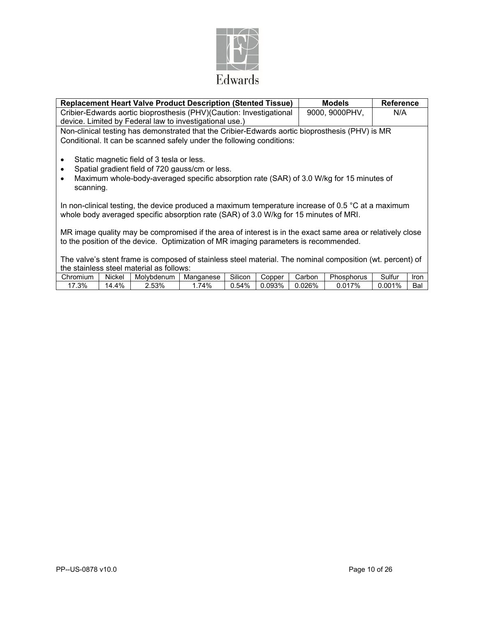

| <b>Replacement Heart Valve Product Description (Stented Tissue)</b>                                                                                                                                                                          | <b>Models</b>  | <b>Reference</b> |  |  |  |
|----------------------------------------------------------------------------------------------------------------------------------------------------------------------------------------------------------------------------------------------|----------------|------------------|--|--|--|
| Cribier-Edwards aortic bioprosthesis (PHV)(Caution: Investigational                                                                                                                                                                          | 9000, 9000PHV, | N/A              |  |  |  |
| device. Limited by Federal law to investigational use.)                                                                                                                                                                                      |                |                  |  |  |  |
| Non-clinical testing has demonstrated that the Cribier-Edwards aortic bioprosthesis (PHV) is MR                                                                                                                                              |                |                  |  |  |  |
| Conditional. It can be scanned safely under the following conditions:                                                                                                                                                                        |                |                  |  |  |  |
| Static magnetic field of 3 tesla or less.<br>$\bullet$<br>Spatial gradient field of 720 gauss/cm or less.<br>$\bullet$<br>Maximum whole-body-averaged specific absorption rate (SAR) of 3.0 W/kg for 15 minutes of<br>$\bullet$<br>scanning. |                |                  |  |  |  |
| In non-clinical testing, the device produced a maximum temperature increase of 0.5 $\degree$ C at a maximum<br>whole body averaged specific absorption rate (SAR) of 3.0 W/kg for 15 minutes of MRI.                                         |                |                  |  |  |  |
| MR image quality may be compromised if the area of interest is in the exact same area or relatively close<br>to the position of the device. Optimization of MR imaging parameters is recommended.                                            |                |                  |  |  |  |
| The valve's stent frame is composed of stainless steel material. The nominal composition (wt. percent) of<br>the stainless steel material as follows:                                                                                        |                |                  |  |  |  |

| Chromium | Nickel   | Molvbdenum | Manganese                      | ~…<br>Silicon | Copper | Carbon       | אח<br>hosphorus | $\overline{\phantom{0}}$<br>ડultur | Iror     |
|----------|----------|------------|--------------------------------|---------------|--------|--------------|-----------------|------------------------------------|----------|
| .3%      | 4%<br>۱Δ | 2.53%      | 4%<br>$\overline{\phantom{0}}$ | J.54%         | .093%  | 026%<br>.uzu | 017%            | $1\%$<br>.00                       | -<br>Bal |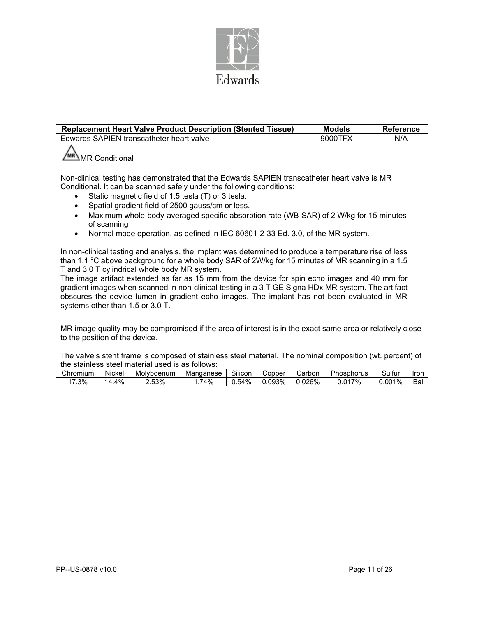

| <b>Replacement Heart Valve Product Description (Stented Tissue)</b>                                                                                                                                                                                                                                                                                                                                                                                                                                                                                                                                     | <b>Models</b> | <b>Reference</b> |  |  |  |
|---------------------------------------------------------------------------------------------------------------------------------------------------------------------------------------------------------------------------------------------------------------------------------------------------------------------------------------------------------------------------------------------------------------------------------------------------------------------------------------------------------------------------------------------------------------------------------------------------------|---------------|------------------|--|--|--|
| Edwards SAPIEN transcatheter heart valve                                                                                                                                                                                                                                                                                                                                                                                                                                                                                                                                                                | 9000TFX       | N/A              |  |  |  |
| MR Conditional                                                                                                                                                                                                                                                                                                                                                                                                                                                                                                                                                                                          |               |                  |  |  |  |
| Non-clinical testing has demonstrated that the Edwards SAPIEN transcatheter heart valve is MR<br>Conditional. It can be scanned safely under the following conditions:<br>Static magnetic field of 1.5 tesla (T) or 3 tesla.<br>Spatial gradient field of 2500 gauss/cm or less.<br>$\bullet$                                                                                                                                                                                                                                                                                                           |               |                  |  |  |  |
| Maximum whole-body-averaged specific absorption rate (WB-SAR) of 2 W/kg for 15 minutes<br>$\bullet$<br>of scanning                                                                                                                                                                                                                                                                                                                                                                                                                                                                                      |               |                  |  |  |  |
| Normal mode operation, as defined in IEC 60601-2-33 Ed. 3.0, of the MR system.<br>$\bullet$                                                                                                                                                                                                                                                                                                                                                                                                                                                                                                             |               |                  |  |  |  |
| In non-clinical testing and analysis, the implant was determined to produce a temperature rise of less<br>than 1.1 °C above background for a whole body SAR of 2W/kg for 15 minutes of MR scanning in a 1.5<br>T and 3.0 T cylindrical whole body MR system.<br>The image artifact extended as far as 15 mm from the device for spin echo images and 40 mm for<br>gradient images when scanned in non-clinical testing in a 3 T GE Signa HDx MR system. The artifact<br>obscures the device lumen in gradient echo images. The implant has not been evaluated in MR<br>systems other than 1.5 or 3.0 T. |               |                  |  |  |  |
| MR image quality may be compromised if the area of interest is in the exact same area or relatively close<br>to the position of the device.                                                                                                                                                                                                                                                                                                                                                                                                                                                             |               |                  |  |  |  |
| The valve's stent frame is composed of stainless steel material. The nominal composition (wt. percent) of<br>the stainless steel material used is as follows:                                                                                                                                                                                                                                                                                                                                                                                                                                           |               |                  |  |  |  |

| -----    |             | --         | .         |                 |        |        |                 |             |             |
|----------|-------------|------------|-----------|-----------------|--------|--------|-----------------|-------------|-------------|
| Chromium | .<br>Nickel | Molvbdenum | Manganese | ~…<br>۔ Illicon | Copper | arborٽ | -<br>∙hosphorus | .<br>Sulfur | <b>Iron</b> |
| .3%      | 4%<br>٠4    | 2.53%<br>⌒ | 74%       | 54%<br>. ت      | 093%،  | .026%  | 170/<br>.01     | 001%        | Bal         |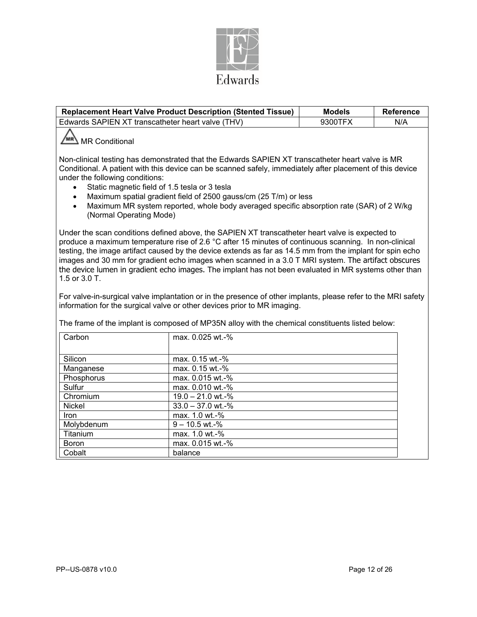

|                                                                                                                                                                                                                                                                                                                                                                                                                                                                                                                                                                                                                                                                                                                                                     | <b>Replacement Heart Valve Product Description (Stented Tissue)</b>                                                  | <b>Models</b> | Reference |  |  |  |
|-----------------------------------------------------------------------------------------------------------------------------------------------------------------------------------------------------------------------------------------------------------------------------------------------------------------------------------------------------------------------------------------------------------------------------------------------------------------------------------------------------------------------------------------------------------------------------------------------------------------------------------------------------------------------------------------------------------------------------------------------------|----------------------------------------------------------------------------------------------------------------------|---------------|-----------|--|--|--|
|                                                                                                                                                                                                                                                                                                                                                                                                                                                                                                                                                                                                                                                                                                                                                     | Edwards SAPIEN XT transcatheter heart valve (THV)                                                                    | 9300TFX       | N/A       |  |  |  |
| MR Conditional<br>Non-clinical testing has demonstrated that the Edwards SAPIEN XT transcatheter heart valve is MR<br>Conditional. A patient with this device can be scanned safely, immediately after placement of this device<br>under the following conditions:<br>Static magnetic field of 1.5 tesla or 3 tesla<br>Maximum spatial gradient field of 2500 gauss/cm (25 T/m) or less<br>Maximum MR system reported, whole body averaged specific absorption rate (SAR) of 2 W/kg<br>(Normal Operating Mode)                                                                                                                                                                                                                                      |                                                                                                                      |               |           |  |  |  |
| Under the scan conditions defined above, the SAPIEN XT transcatheter heart valve is expected to<br>produce a maximum temperature rise of 2.6 °C after 15 minutes of continuous scanning. In non-clinical<br>testing, the image artifact caused by the device extends as far as 14.5 mm from the implant for spin echo<br>images and 30 mm for gradient echo images when scanned in a 3.0 T MRI system. The artifact obscures<br>the device lumen in gradient echo images. The implant has not been evaluated in MR systems other than<br>1.5 or 3.0 T.<br>For valve-in-surgical valve implantation or in the presence of other implants, please refer to the MRI safety<br>information for the surgical valve or other devices prior to MR imaging. |                                                                                                                      |               |           |  |  |  |
| Carbon                                                                                                                                                                                                                                                                                                                                                                                                                                                                                                                                                                                                                                                                                                                                              | The frame of the implant is composed of MP35N alloy with the chemical constituents listed below:<br>max. 0.025 wt.-% |               |           |  |  |  |
|                                                                                                                                                                                                                                                                                                                                                                                                                                                                                                                                                                                                                                                                                                                                                     |                                                                                                                      |               |           |  |  |  |
| Silicon                                                                                                                                                                                                                                                                                                                                                                                                                                                                                                                                                                                                                                                                                                                                             | max. 0.15 wt.-%                                                                                                      |               |           |  |  |  |
| Manganese                                                                                                                                                                                                                                                                                                                                                                                                                                                                                                                                                                                                                                                                                                                                           | max. 0.15 wt.-%                                                                                                      |               |           |  |  |  |
| Phosphorus                                                                                                                                                                                                                                                                                                                                                                                                                                                                                                                                                                                                                                                                                                                                          | max. 0.015 wt.-%                                                                                                     |               |           |  |  |  |
| Sulfur                                                                                                                                                                                                                                                                                                                                                                                                                                                                                                                                                                                                                                                                                                                                              | max. 0.010 wt.-%                                                                                                     |               |           |  |  |  |
| Chromium                                                                                                                                                                                                                                                                                                                                                                                                                                                                                                                                                                                                                                                                                                                                            | 19.0 - 21.0 wt.-%                                                                                                    |               |           |  |  |  |
| $33.0 - 37.0$ wt.-%<br>Nickel                                                                                                                                                                                                                                                                                                                                                                                                                                                                                                                                                                                                                                                                                                                       |                                                                                                                      |               |           |  |  |  |
| Iron                                                                                                                                                                                                                                                                                                                                                                                                                                                                                                                                                                                                                                                                                                                                                | max. 1.0 wt.-%                                                                                                       |               |           |  |  |  |
| Molybdenum                                                                                                                                                                                                                                                                                                                                                                                                                                                                                                                                                                                                                                                                                                                                          | $9 - 10.5$ wt.-%                                                                                                     |               |           |  |  |  |
| Titanium                                                                                                                                                                                                                                                                                                                                                                                                                                                                                                                                                                                                                                                                                                                                            | max. 1.0 wt.-%                                                                                                       |               |           |  |  |  |
| Boron                                                                                                                                                                                                                                                                                                                                                                                                                                                                                                                                                                                                                                                                                                                                               | max. 0.015 wt.-%                                                                                                     |               |           |  |  |  |
| Cobalt                                                                                                                                                                                                                                                                                                                                                                                                                                                                                                                                                                                                                                                                                                                                              | balance                                                                                                              |               |           |  |  |  |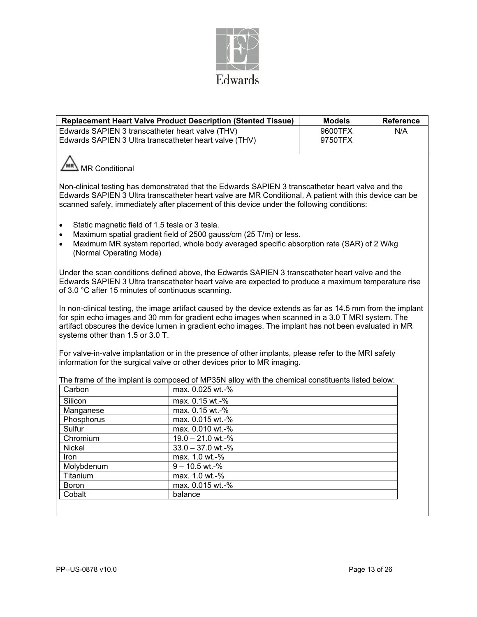

|                                                                                                                                                                                                                                                                                                                                                            | <b>Replacement Heart Valve Product Description (Stented Tissue)</b>                                                                                                              | <b>Models</b>      | <b>Reference</b> |  |  |  |  |
|------------------------------------------------------------------------------------------------------------------------------------------------------------------------------------------------------------------------------------------------------------------------------------------------------------------------------------------------------------|----------------------------------------------------------------------------------------------------------------------------------------------------------------------------------|--------------------|------------------|--|--|--|--|
| Edwards SAPIEN 3 transcatheter heart valve (THV)<br>Edwards SAPIEN 3 Ultra transcatheter heart valve (THV)                                                                                                                                                                                                                                                 |                                                                                                                                                                                  | 9600TFX<br>9750TFX | N/A              |  |  |  |  |
| MR Conditional                                                                                                                                                                                                                                                                                                                                             |                                                                                                                                                                                  |                    |                  |  |  |  |  |
| Non-clinical testing has demonstrated that the Edwards SAPIEN 3 transcatheter heart valve and the<br>Edwards SAPIEN 3 Ultra transcatheter heart valve are MR Conditional. A patient with this device can be<br>scanned safely, immediately after placement of this device under the following conditions:                                                  |                                                                                                                                                                                  |                    |                  |  |  |  |  |
| Static magnetic field of 1.5 tesla or 3 tesla.<br>$\bullet$<br>Maximum spatial gradient field of 2500 gauss/cm (25 T/m) or less.<br>$\bullet$<br>Maximum MR system reported, whole body averaged specific absorption rate (SAR) of 2 W/kg<br>$\bullet$<br>(Normal Operating Mode)                                                                          |                                                                                                                                                                                  |                    |                  |  |  |  |  |
| Under the scan conditions defined above, the Edwards SAPIEN 3 transcatheter heart valve and the<br>Edwards SAPIEN 3 Ultra transcatheter heart valve are expected to produce a maximum temperature rise<br>of 3.0 °C after 15 minutes of continuous scanning.                                                                                               |                                                                                                                                                                                  |                    |                  |  |  |  |  |
| In non-clinical testing, the image artifact caused by the device extends as far as 14.5 mm from the implant<br>for spin echo images and 30 mm for gradient echo images when scanned in a 3.0 T MRI system. The<br>artifact obscures the device lumen in gradient echo images. The implant has not been evaluated in MR<br>systems other than 1.5 or 3.0 T. |                                                                                                                                                                                  |                    |                  |  |  |  |  |
|                                                                                                                                                                                                                                                                                                                                                            | For valve-in-valve implantation or in the presence of other implants, please refer to the MRI safety<br>information for the surgical valve or other devices prior to MR imaging. |                    |                  |  |  |  |  |
|                                                                                                                                                                                                                                                                                                                                                            | The frame of the implant is composed of MP35N alloy with the chemical constituents listed below:                                                                                 |                    |                  |  |  |  |  |
| Carbon                                                                                                                                                                                                                                                                                                                                                     | max. 0.025 wt.-%                                                                                                                                                                 |                    |                  |  |  |  |  |
| Silicon                                                                                                                                                                                                                                                                                                                                                    | max. 0.15 wt.-%                                                                                                                                                                  |                    |                  |  |  |  |  |
| Manganese                                                                                                                                                                                                                                                                                                                                                  | max. 0.15 wt.-%                                                                                                                                                                  |                    |                  |  |  |  |  |
| Phosphorus                                                                                                                                                                                                                                                                                                                                                 | max. 0.015 wt.-%                                                                                                                                                                 |                    |                  |  |  |  |  |
| Sulfur                                                                                                                                                                                                                                                                                                                                                     | max. 0.010 wt.-%                                                                                                                                                                 |                    |                  |  |  |  |  |
| Chromium                                                                                                                                                                                                                                                                                                                                                   | 19.0 - 21.0 wt.-%                                                                                                                                                                |                    |                  |  |  |  |  |
| Nickel                                                                                                                                                                                                                                                                                                                                                     | $33.0 - 37.0$ wt.-%                                                                                                                                                              |                    |                  |  |  |  |  |
| Iron                                                                                                                                                                                                                                                                                                                                                       | max. 1.0 wt.-%                                                                                                                                                                   |                    |                  |  |  |  |  |
| Molybdenum                                                                                                                                                                                                                                                                                                                                                 | $9 - 10.5$ wt.-%                                                                                                                                                                 |                    |                  |  |  |  |  |
| Titanium                                                                                                                                                                                                                                                                                                                                                   | max. 1.0 wt.-%                                                                                                                                                                   |                    |                  |  |  |  |  |
| <b>Boron</b>                                                                                                                                                                                                                                                                                                                                               | max. 0.015 wt.-%                                                                                                                                                                 |                    |                  |  |  |  |  |
| Cobalt                                                                                                                                                                                                                                                                                                                                                     | balance                                                                                                                                                                          |                    |                  |  |  |  |  |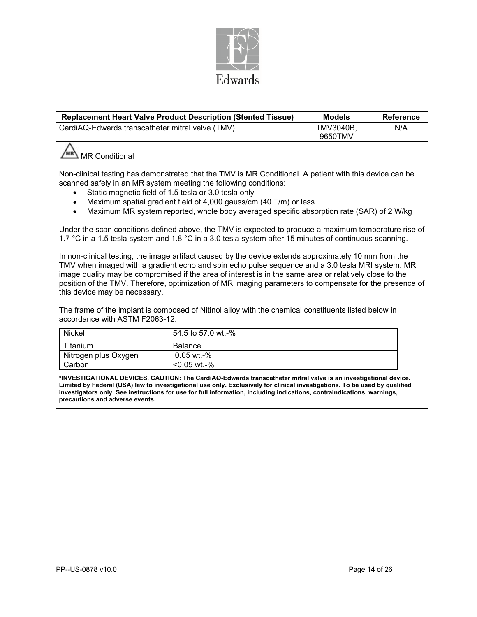

|                                                                                                                                                                                                                                                                                                                                                                                                                                                                  | <b>Replacement Heart Valve Product Description (Stented Tissue)</b>                                                                                                                                                                                                                                                                                                                                  | <b>Models</b>        | <b>Reference</b> |  |  |
|------------------------------------------------------------------------------------------------------------------------------------------------------------------------------------------------------------------------------------------------------------------------------------------------------------------------------------------------------------------------------------------------------------------------------------------------------------------|------------------------------------------------------------------------------------------------------------------------------------------------------------------------------------------------------------------------------------------------------------------------------------------------------------------------------------------------------------------------------------------------------|----------------------|------------------|--|--|
| CardiAQ-Edwards transcatheter mitral valve (TMV)                                                                                                                                                                                                                                                                                                                                                                                                                 |                                                                                                                                                                                                                                                                                                                                                                                                      | TMV3040B,<br>9650TMV | N/A              |  |  |
| <b>MR Conditional</b>                                                                                                                                                                                                                                                                                                                                                                                                                                            |                                                                                                                                                                                                                                                                                                                                                                                                      |                      |                  |  |  |
|                                                                                                                                                                                                                                                                                                                                                                                                                                                                  | Non-clinical testing has demonstrated that the TMV is MR Conditional. A patient with this device can be<br>scanned safely in an MR system meeting the following conditions:<br>Static magnetic field of 1.5 tesla or 3.0 tesla only<br>Maximum spatial gradient field of 4,000 gauss/cm (40 T/m) or less<br>Maximum MR system reported, whole body averaged specific absorption rate (SAR) of 2 W/kg |                      |                  |  |  |
|                                                                                                                                                                                                                                                                                                                                                                                                                                                                  | Under the scan conditions defined above, the TMV is expected to produce a maximum temperature rise of<br>1.7 °C in a 1.5 tesla system and 1.8 °C in a 3.0 tesla system after 15 minutes of continuous scanning.                                                                                                                                                                                      |                      |                  |  |  |
| In non-clinical testing, the image artifact caused by the device extends approximately 10 mm from the<br>TMV when imaged with a gradient echo and spin echo pulse sequence and a 3.0 tesla MRI system. MR<br>image quality may be compromised if the area of interest is in the same area or relatively close to the<br>position of the TMV. Therefore, optimization of MR imaging parameters to compensate for the presence of<br>this device may be necessary. |                                                                                                                                                                                                                                                                                                                                                                                                      |                      |                  |  |  |
| The frame of the implant is composed of Nitinol alloy with the chemical constituents listed below in<br>accordance with ASTM F2063-12.                                                                                                                                                                                                                                                                                                                           |                                                                                                                                                                                                                                                                                                                                                                                                      |                      |                  |  |  |
| <b>Nickel</b>                                                                                                                                                                                                                                                                                                                                                                                                                                                    | 54.5 to 57.0 wt.-%                                                                                                                                                                                                                                                                                                                                                                                   |                      |                  |  |  |
| Titanium                                                                                                                                                                                                                                                                                                                                                                                                                                                         | <b>Balance</b>                                                                                                                                                                                                                                                                                                                                                                                       |                      |                  |  |  |
| Nitrogen plus Oxygen                                                                                                                                                                                                                                                                                                                                                                                                                                             | 0.05 wt.-%                                                                                                                                                                                                                                                                                                                                                                                           |                      |                  |  |  |
| Carbon                                                                                                                                                                                                                                                                                                                                                                                                                                                           | <0.05 wt.-%                                                                                                                                                                                                                                                                                                                                                                                          |                      |                  |  |  |

**\*INVESTIGATIONAL DEVICES. CAUTION: The CardiAQ-Edwards transcatheter mitral valve is an investigational device. Limited by Federal (USA) law to investigational use only. Exclusively for clinical investigations. To be used by qualified investigators only. See instructions for use for full information, including indications, contraindications, warnings, precautions and adverse events.**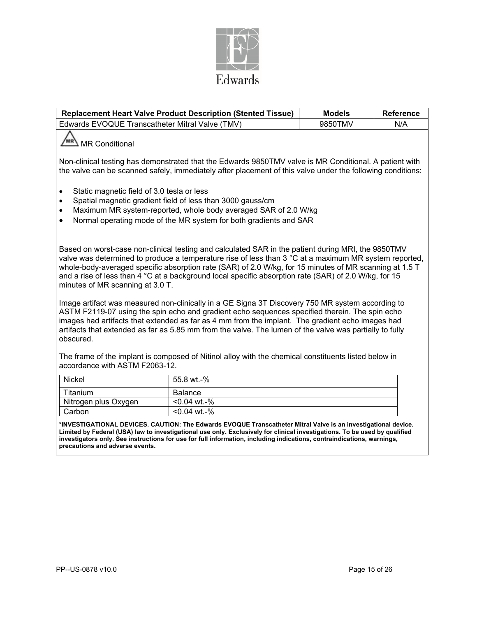

|                                                                                                                                                                                                                                                                                                                                                                                                                                                                    | <b>Replacement Heart Valve Product Description (Stented Tissue)</b>                                                                                                                                                                                                                                                                                                                                               | <b>Models</b> | <b>Reference</b> |  |  |
|--------------------------------------------------------------------------------------------------------------------------------------------------------------------------------------------------------------------------------------------------------------------------------------------------------------------------------------------------------------------------------------------------------------------------------------------------------------------|-------------------------------------------------------------------------------------------------------------------------------------------------------------------------------------------------------------------------------------------------------------------------------------------------------------------------------------------------------------------------------------------------------------------|---------------|------------------|--|--|
| Edwards EVOQUE Transcatheter Mitral Valve (TMV)                                                                                                                                                                                                                                                                                                                                                                                                                    | 9850TMV                                                                                                                                                                                                                                                                                                                                                                                                           | N/A           |                  |  |  |
| <b>MR Conditional</b>                                                                                                                                                                                                                                                                                                                                                                                                                                              |                                                                                                                                                                                                                                                                                                                                                                                                                   |               |                  |  |  |
|                                                                                                                                                                                                                                                                                                                                                                                                                                                                    | Non-clinical testing has demonstrated that the Edwards 9850TMV valve is MR Conditional. A patient with<br>the valve can be scanned safely, immediately after placement of this valve under the following conditions:                                                                                                                                                                                              |               |                  |  |  |
| Static magnetic field of 3.0 tesla or less<br>$\bullet$<br>$\bullet$<br>$\bullet$<br>$\bullet$                                                                                                                                                                                                                                                                                                                                                                     | Spatial magnetic gradient field of less than 3000 gauss/cm<br>Maximum MR system-reported, whole body averaged SAR of 2.0 W/kg<br>Normal operating mode of the MR system for both gradients and SAR                                                                                                                                                                                                                |               |                  |  |  |
| Based on worst-case non-clinical testing and calculated SAR in the patient during MRI, the 9850TMV<br>valve was determined to produce a temperature rise of less than 3 °C at a maximum MR system reported,<br>whole-body-averaged specific absorption rate (SAR) of 2.0 W/kg, for 15 minutes of MR scanning at 1.5 T<br>and a rise of less than 4 °C at a background local specific absorption rate (SAR) of 2.0 W/kg, for 15<br>minutes of MR scanning at 3.0 T. |                                                                                                                                                                                                                                                                                                                                                                                                                   |               |                  |  |  |
| obscured.                                                                                                                                                                                                                                                                                                                                                                                                                                                          | Image artifact was measured non-clinically in a GE Signa 3T Discovery 750 MR system according to<br>ASTM F2119-07 using the spin echo and gradient echo sequences specified therein. The spin echo<br>images had artifacts that extended as far as 4 mm from the implant. The gradient echo images had<br>artifacts that extended as far as 5.85 mm from the valve. The lumen of the valve was partially to fully |               |                  |  |  |
| accordance with ASTM F2063-12.                                                                                                                                                                                                                                                                                                                                                                                                                                     | The frame of the implant is composed of Nitinol alloy with the chemical constituents listed below in                                                                                                                                                                                                                                                                                                              |               |                  |  |  |
| Nickel                                                                                                                                                                                                                                                                                                                                                                                                                                                             | 55.8 wt.-%                                                                                                                                                                                                                                                                                                                                                                                                        |               |                  |  |  |
|                                                                                                                                                                                                                                                                                                                                                                                                                                                                    | $\blacksquare$                                                                                                                                                                                                                                                                                                                                                                                                    |               |                  |  |  |

| туюкег               | -00.0 WL-70    |
|----------------------|----------------|
| Titanium             | Balance        |
| Nitrogen plus Oxygen | $< 0.04$ wt.-% |
| Carbon               | $< 0.04$ wt.-% |

**\*INVESTIGATIONAL DEVICES. CAUTION: The Edwards EVOQUE Transcatheter Mitral Valve is an investigational device. Limited by Federal (USA) law to investigational use only. Exclusively for clinical investigations. To be used by qualified investigators only. See instructions for use for full information, including indications, contraindications, warnings, precautions and adverse events.**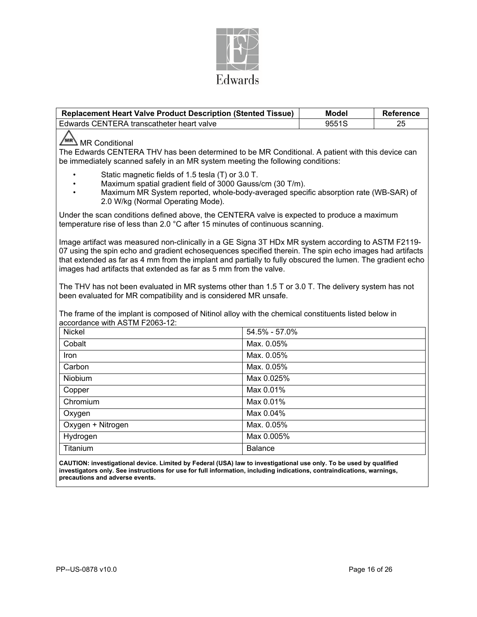

| <b>Replacement Heart Valve Product Description (Stented Tissue)</b>                                                                                                                                                                                                                                                                                                                              |                | <b>Model</b> | <b>Reference</b> |  |  |  |
|--------------------------------------------------------------------------------------------------------------------------------------------------------------------------------------------------------------------------------------------------------------------------------------------------------------------------------------------------------------------------------------------------|----------------|--------------|------------------|--|--|--|
| Edwards CENTERA transcatheter heart valve                                                                                                                                                                                                                                                                                                                                                        |                | 9551S        | 25               |  |  |  |
| MR Conditional<br>The Edwards CENTERA THV has been determined to be MR Conditional. A patient with this device can<br>be immediately scanned safely in an MR system meeting the following conditions:                                                                                                                                                                                            |                |              |                  |  |  |  |
| Static magnetic fields of 1.5 tesla (T) or 3.0 T.<br>Maximum spatial gradient field of 3000 Gauss/cm (30 T/m).<br>Maximum MR System reported, whole-body-averaged specific absorption rate (WB-SAR) of<br>2.0 W/kg (Normal Operating Mode).                                                                                                                                                      |                |              |                  |  |  |  |
| Under the scan conditions defined above, the CENTERA valve is expected to produce a maximum<br>temperature rise of less than 2.0 °C after 15 minutes of continuous scanning.                                                                                                                                                                                                                     |                |              |                  |  |  |  |
| Image artifact was measured non-clinically in a GE Signa 3T HDx MR system according to ASTM F2119-<br>07 using the spin echo and gradient echosequences specified therein. The spin echo images had artifacts<br>that extended as far as 4 mm from the implant and partially to fully obscured the lumen. The gradient echo<br>images had artifacts that extended as far as 5 mm from the valve. |                |              |                  |  |  |  |
| The THV has not been evaluated in MR systems other than 1.5 T or 3.0 T. The delivery system has not<br>been evaluated for MR compatibility and is considered MR unsafe.<br>The frame of the implant is composed of Nitinol alloy with the chemical constituents listed below in                                                                                                                  |                |              |                  |  |  |  |
| accordance with ASTM F2063-12:                                                                                                                                                                                                                                                                                                                                                                   |                |              |                  |  |  |  |
| <b>Nickel</b>                                                                                                                                                                                                                                                                                                                                                                                    | 54.5% - 57.0%  |              |                  |  |  |  |
| Cobalt                                                                                                                                                                                                                                                                                                                                                                                           | Max. 0.05%     |              |                  |  |  |  |
| Iron                                                                                                                                                                                                                                                                                                                                                                                             | Max. 0.05%     |              |                  |  |  |  |
| Carbon                                                                                                                                                                                                                                                                                                                                                                                           | Max. 0.05%     |              |                  |  |  |  |
| <b>Niobium</b>                                                                                                                                                                                                                                                                                                                                                                                   | Max 0.025%     |              |                  |  |  |  |
| Copper                                                                                                                                                                                                                                                                                                                                                                                           | Max 0.01%      |              |                  |  |  |  |
| Chromium                                                                                                                                                                                                                                                                                                                                                                                         | Max $0.01\%$   |              |                  |  |  |  |
| Oxygen                                                                                                                                                                                                                                                                                                                                                                                           | Max 0.04%      |              |                  |  |  |  |
| Oxygen + Nitrogen                                                                                                                                                                                                                                                                                                                                                                                | Max. 0.05%     |              |                  |  |  |  |
| Hydrogen                                                                                                                                                                                                                                                                                                                                                                                         | Max 0.005%     |              |                  |  |  |  |
| Titanium                                                                                                                                                                                                                                                                                                                                                                                         | <b>Balance</b> |              |                  |  |  |  |

**CAUTION: investigational device. Limited by Federal (USA) law to investigational use only. To be used by qualified investigators only. See instructions for use for full information, including indications, contraindications, warnings, precautions and adverse events.**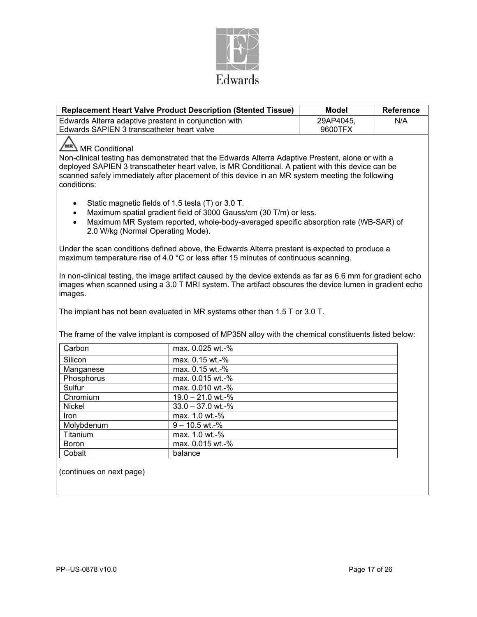

|                                                                                                                                                                                                                                                                                                                                            | <b>Replacement Heart Valve Product Description (Stented Tissue)</b>                                                                                                                                                                                                                                 | <b>Model</b> | <b>Reference</b> |  |  |  |
|--------------------------------------------------------------------------------------------------------------------------------------------------------------------------------------------------------------------------------------------------------------------------------------------------------------------------------------------|-----------------------------------------------------------------------------------------------------------------------------------------------------------------------------------------------------------------------------------------------------------------------------------------------------|--------------|------------------|--|--|--|
| Edwards Alterra adaptive prestent in conjunction with                                                                                                                                                                                                                                                                                      |                                                                                                                                                                                                                                                                                                     | 29AP4045.    | N/A              |  |  |  |
| Edwards SAPIEN 3 transcatheter heart valve                                                                                                                                                                                                                                                                                                 |                                                                                                                                                                                                                                                                                                     | 9600TFX      |                  |  |  |  |
| MR Conditional<br>Non-clinical testing has demonstrated that the Edwards Alterra Adaptive Prestent, alone or with a<br>deployed SAPIEN 3 transcatheter heart valve, is MR Conditional. A patient with this device can be<br>scanned safely immediately after placement of this device in an MR system meeting the following<br>conditions: |                                                                                                                                                                                                                                                                                                     |              |                  |  |  |  |
| Static magnetic fields of 1.5 tesla (T) or 3.0 T.<br>Maximum spatial gradient field of 3000 Gauss/cm (30 T/m) or less.<br>Maximum MR System reported, whole-body-averaged specific absorption rate (WB-SAR) of<br>2.0 W/kg (Normal Operating Mode).                                                                                        |                                                                                                                                                                                                                                                                                                     |              |                  |  |  |  |
|                                                                                                                                                                                                                                                                                                                                            | Under the scan conditions defined above, the Edwards Alterra prestent is expected to produce a<br>maximum temperature rise of 4.0 °C or less after 15 minutes of continuous scanning.                                                                                                               |              |                  |  |  |  |
| images.                                                                                                                                                                                                                                                                                                                                    | In non-clinical testing, the image artifact caused by the device extends as far as 6.6 mm for gradient echo<br>images when scanned using a 3.0 T MRI system. The artifact obscures the device lumen in gradient echo<br>The implant has not been evaluated in MR systems other than 1.5 T or 3.0 T. |              |                  |  |  |  |
|                                                                                                                                                                                                                                                                                                                                            | The frame of the valve implant is composed of MP35N alloy with the chemical constituents listed below:                                                                                                                                                                                              |              |                  |  |  |  |
| Carbon                                                                                                                                                                                                                                                                                                                                     | max. 0.025 wt.-%                                                                                                                                                                                                                                                                                    |              |                  |  |  |  |
| Silicon                                                                                                                                                                                                                                                                                                                                    | max. 0.15 wt.-%                                                                                                                                                                                                                                                                                     |              |                  |  |  |  |
| Manganese                                                                                                                                                                                                                                                                                                                                  | max. 0.15 wt.-%                                                                                                                                                                                                                                                                                     |              |                  |  |  |  |
| Phosphorus                                                                                                                                                                                                                                                                                                                                 | max. 0.015 wt.-%                                                                                                                                                                                                                                                                                    |              |                  |  |  |  |
| Sulfur                                                                                                                                                                                                                                                                                                                                     | max. 0.010 wt.-%                                                                                                                                                                                                                                                                                    |              |                  |  |  |  |
| Chromium                                                                                                                                                                                                                                                                                                                                   | 19.0 - 21.0 wt.-%                                                                                                                                                                                                                                                                                   |              |                  |  |  |  |
| Nickel                                                                                                                                                                                                                                                                                                                                     | $33.0 - 37.0$ wt.-%                                                                                                                                                                                                                                                                                 |              |                  |  |  |  |
| Iron                                                                                                                                                                                                                                                                                                                                       | max. 1.0 wt.-%                                                                                                                                                                                                                                                                                      |              |                  |  |  |  |
| Molybdenum                                                                                                                                                                                                                                                                                                                                 | $9 - 10.5$ wt.-%                                                                                                                                                                                                                                                                                    |              |                  |  |  |  |
| Titanium                                                                                                                                                                                                                                                                                                                                   | max. 1.0 wt.-%                                                                                                                                                                                                                                                                                      |              |                  |  |  |  |
| Boron                                                                                                                                                                                                                                                                                                                                      | max. 0.015 wt.-%                                                                                                                                                                                                                                                                                    |              |                  |  |  |  |
| Cobalt                                                                                                                                                                                                                                                                                                                                     | balance                                                                                                                                                                                                                                                                                             |              |                  |  |  |  |

(continues on next page)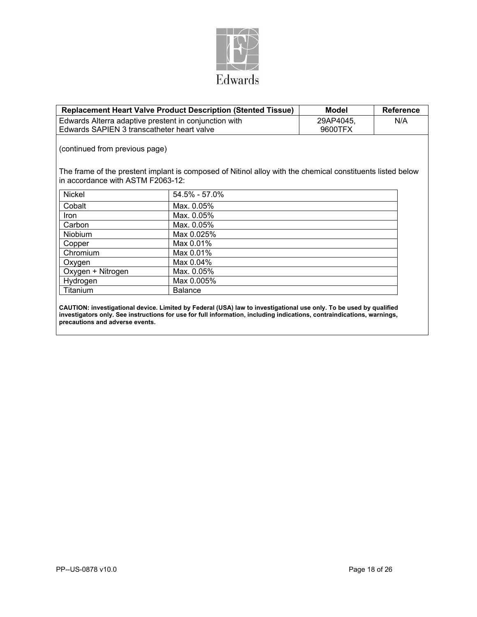

| <b>Replacement Heart Valve Product Description (Stented Tissue)</b>                                                                             | Model          | <b>Reference</b> |  |  |  |  |  |  |
|-------------------------------------------------------------------------------------------------------------------------------------------------|----------------|------------------|--|--|--|--|--|--|
| Edwards Alterra adaptive prestent in conjunction with                                                                                           | 29AP4045,      | N/A              |  |  |  |  |  |  |
| Edwards SAPIEN 3 transcatheter heart valve                                                                                                      |                | 9600TFX          |  |  |  |  |  |  |
| (continued from previous page)                                                                                                                  |                |                  |  |  |  |  |  |  |
| The frame of the prestent implant is composed of Nitinol alloy with the chemical constituents listed below<br>in accordance with ASTM F2063-12: |                |                  |  |  |  |  |  |  |
| <b>Nickel</b>                                                                                                                                   | 54.5% - 57.0%  |                  |  |  |  |  |  |  |
| Cobalt                                                                                                                                          | Max. 0.05%     |                  |  |  |  |  |  |  |
| <b>Iron</b>                                                                                                                                     | Max. 0.05%     |                  |  |  |  |  |  |  |
| Carbon                                                                                                                                          | Max. 0.05%     |                  |  |  |  |  |  |  |
| <b>Niobium</b>                                                                                                                                  | Max 0.025%     |                  |  |  |  |  |  |  |
| Copper                                                                                                                                          | Max 0.01%      |                  |  |  |  |  |  |  |
| Chromium                                                                                                                                        | Max 0.01%      |                  |  |  |  |  |  |  |
| Oxygen                                                                                                                                          | Max 0.04%      |                  |  |  |  |  |  |  |
| Oxygen + Nitrogen                                                                                                                               | Max. 0.05%     |                  |  |  |  |  |  |  |
| Hydrogen                                                                                                                                        | Max 0.005%     |                  |  |  |  |  |  |  |
| Titanium                                                                                                                                        | <b>Balance</b> |                  |  |  |  |  |  |  |
|                                                                                                                                                 |                |                  |  |  |  |  |  |  |

**CAUTION: investigational device. Limited by Federal (USA) law to investigational use only. To be used by qualified investigators only. See instructions for use for full information, including indications, contraindications, warnings, precautions and adverse events.**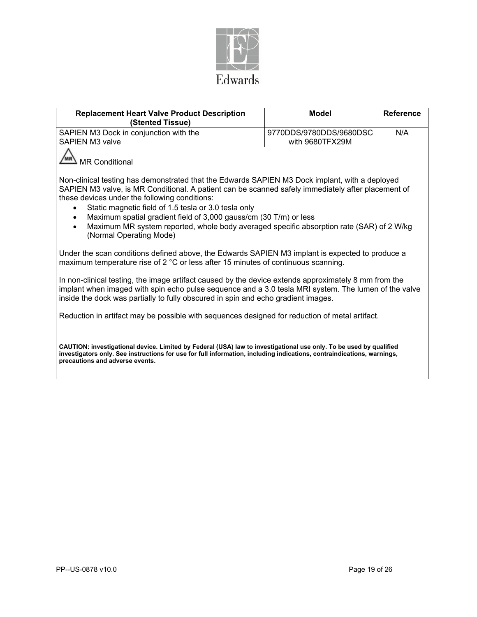

| <b>Replacement Heart Valve Product Description</b><br>(Stented Tissue)                                                                                                                                                                                                                                                                                                                                                                                                                                                              | <b>Model</b>                               | <b>Reference</b> |  |  |  |  |  |  |
|-------------------------------------------------------------------------------------------------------------------------------------------------------------------------------------------------------------------------------------------------------------------------------------------------------------------------------------------------------------------------------------------------------------------------------------------------------------------------------------------------------------------------------------|--------------------------------------------|------------------|--|--|--|--|--|--|
| SAPIEN M3 Dock in conjunction with the<br><b>SAPIEN M3 valve</b>                                                                                                                                                                                                                                                                                                                                                                                                                                                                    | 9770DDS/9780DDS/9680DSC<br>with 9680TFX29M |                  |  |  |  |  |  |  |
| <b>MR Conditional</b>                                                                                                                                                                                                                                                                                                                                                                                                                                                                                                               |                                            |                  |  |  |  |  |  |  |
| Non-clinical testing has demonstrated that the Edwards SAPIEN M3 Dock implant, with a deployed<br>SAPIEN M3 valve, is MR Conditional. A patient can be scanned safely immediately after placement of<br>these devices under the following conditions:<br>Static magnetic field of 1.5 tesla or 3.0 tesla only<br>Maximum spatial gradient field of 3,000 gauss/cm (30 T/m) or less<br>$\bullet$<br>Maximum MR system reported, whole body averaged specific absorption rate (SAR) of 2 W/kg<br>$\bullet$<br>(Normal Operating Mode) |                                            |                  |  |  |  |  |  |  |
| Under the scan conditions defined above, the Edwards SAPIEN M3 implant is expected to produce a<br>maximum temperature rise of 2 °C or less after 15 minutes of continuous scanning.                                                                                                                                                                                                                                                                                                                                                |                                            |                  |  |  |  |  |  |  |
| In non-clinical testing, the image artifact caused by the device extends approximately 8 mm from the<br>implant when imaged with spin echo pulse sequence and a 3.0 tesla MRI system. The lumen of the valve<br>inside the dock was partially to fully obscured in spin and echo gradient images.                                                                                                                                                                                                                                   |                                            |                  |  |  |  |  |  |  |
| Reduction in artifact may be possible with sequences designed for reduction of metal artifact.                                                                                                                                                                                                                                                                                                                                                                                                                                      |                                            |                  |  |  |  |  |  |  |
| CAUTION: investigational device. Limited by Federal (USA) law to investigational use only. To be used by qualified<br>investigators only. See instructions for use for full information, including indications, contraindications, warnings,<br>precautions and adverse events.                                                                                                                                                                                                                                                     |                                            |                  |  |  |  |  |  |  |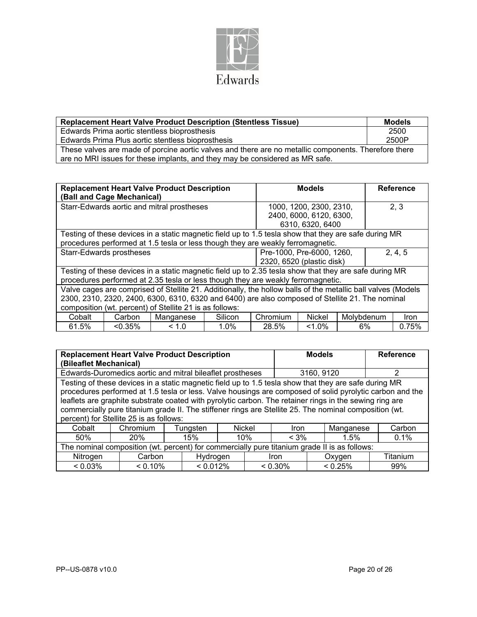

| <b>Replacement Heart Valve Product Description (Stentless Tissue)</b>                                | <b>Models</b> |  |  |  |  |
|------------------------------------------------------------------------------------------------------|---------------|--|--|--|--|
| Edwards Prima aortic stentless bioprosthesis                                                         | 2500          |  |  |  |  |
| Edwards Prima Plus aortic stentless bioprosthesis                                                    | 2500P         |  |  |  |  |
| These valves are made of porcine aortic valves and there are no metallic components. Therefore there |               |  |  |  |  |
| are no MRI issues for these implants, and they may be considered as MR safe.                         |               |  |  |  |  |

|                                 |                                                                                 | <b>Replacement Heart Valve Product Description</b>                                                           |         | <b>Models</b>             |                         |                   | <b>Reference</b> |       |
|---------------------------------|---------------------------------------------------------------------------------|--------------------------------------------------------------------------------------------------------------|---------|---------------------------|-------------------------|-------------------|------------------|-------|
|                                 | (Ball and Cage Mechanical)                                                      |                                                                                                              |         |                           |                         |                   |                  |       |
|                                 |                                                                                 | Starr-Edwards aortic and mitral prostheses                                                                   |         |                           | 1000, 1200, 2300, 2310, |                   |                  | 2, 3  |
|                                 |                                                                                 |                                                                                                              |         |                           | 2400, 6000, 6120, 6300, |                   |                  |       |
|                                 |                                                                                 |                                                                                                              |         |                           | 6310, 6320, 6400        |                   |                  |       |
|                                 |                                                                                 | Testing of these devices in a static magnetic field up to 1.5 tesla show that they are safe during MR        |         |                           |                         |                   |                  |       |
|                                 | procedures performed at 1.5 tesla or less though they are weakly ferromagnetic. |                                                                                                              |         |                           |                         |                   |                  |       |
| <b>Starr-Edwards prostheses</b> |                                                                                 | 2, 4, 5<br>Pre-1000, Pre-6000, 1260,                                                                         |         |                           |                         |                   |                  |       |
|                                 |                                                                                 |                                                                                                              |         | 2320, 6520 (plastic disk) |                         |                   |                  |       |
|                                 |                                                                                 | Testing of these devices in a static magnetic field up to 2.35 tesla show that they are safe during MR       |         |                           |                         |                   |                  |       |
|                                 |                                                                                 | procedures performed at 2.35 tesla or less though they are weakly ferromagnetic.                             |         |                           |                         |                   |                  |       |
|                                 |                                                                                 | Valve cages are comprised of Stellite 21. Additionally, the hollow balls of the metallic ball valves (Models |         |                           |                         |                   |                  |       |
|                                 |                                                                                 | 2300, 2310, 2320, 2400, 6300, 6310, 6320 and 6400) are also composed of Stellite 21. The nominal             |         |                           |                         |                   |                  |       |
|                                 | composition (wt. percent) of Stellite 21 is as follows:                         |                                                                                                              |         |                           |                         |                   |                  |       |
| Cobalt                          | Carbon                                                                          | Manganese                                                                                                    | Silicon | Chromium                  | <b>Nickel</b>           | <b>Molvbdenum</b> |                  | Iron  |
| 61.5%                           | $< 0.35\%$                                                                      | < 1.0                                                                                                        | 1.0%    | 28.5%                     | $1.0\%$                 | 6%                |                  | 0.75% |

| <b>Replacement Heart Valve Product Description</b>                                                      |                    |          |            | <b>Models</b> |            | <b>Reference</b> |            |                                                                                                          |
|---------------------------------------------------------------------------------------------------------|--------------------|----------|------------|---------------|------------|------------------|------------|----------------------------------------------------------------------------------------------------------|
| (Bileaflet Mechanical)                                                                                  |                    |          |            |               |            |                  |            |                                                                                                          |
| Edwards-Duromedics aortic and mitral bileaflet prostheses                                               |                    |          | 3160, 9120 |               | 2          |                  |            |                                                                                                          |
| Testing of these devices in a static magnetic field up to 1.5 tesla show that they are safe during MR   |                    |          |            |               |            |                  |            |                                                                                                          |
|                                                                                                         |                    |          |            |               |            |                  |            | procedures performed at 1.5 tesla or less. Valve housings are composed of solid pyrolytic carbon and the |
| leaflets are graphite substrate coated with pyrolytic carbon. The retainer rings in the sewing ring are |                    |          |            |               |            |                  |            |                                                                                                          |
| commercially pure titanium grade II. The stiffener rings are Stellite 25. The nominal composition (wt.  |                    |          |            |               |            |                  |            |                                                                                                          |
| percent) for Stellite 25 is as follows:                                                                 |                    |          |            |               |            |                  |            |                                                                                                          |
| Cobalt                                                                                                  | Chromium           | Tunasten |            | Nickel        | Iron       |                  | Manganese  | Carbon                                                                                                   |
| 50%                                                                                                     | 20%                | 15%      |            | 10%           | $< 3\%$    |                  | 1.5%       | 0.1%                                                                                                     |
| The nominal composition (wt. percent) for commercially pure titanium grade II is as follows:            |                    |          |            |               |            |                  |            |                                                                                                          |
| Nitrogen                                                                                                | Carbon<br>Hydrogen |          |            | Iron          |            | Oxygen           | Titanium   |                                                                                                          |
| $< 0.03\%$                                                                                              | $< 0.10\%$         | < 0.012% |            |               | $< 0.30\%$ |                  | $< 0.25\%$ | 99%                                                                                                      |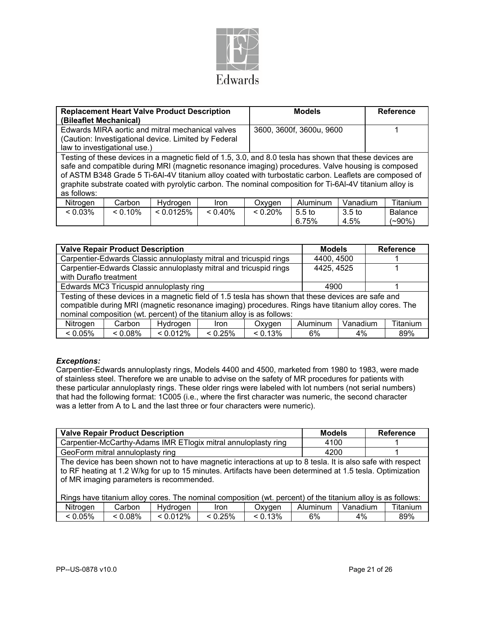

| (Bileaflet Mechanical)                                                                                                                                                                                                                                                                                                                                                                                                                             | <b>Replacement Heart Valve Product Description</b> |                                                      |             | <b>Models</b>            |                            | <b>Reference</b>          |                             |  |  |  |
|----------------------------------------------------------------------------------------------------------------------------------------------------------------------------------------------------------------------------------------------------------------------------------------------------------------------------------------------------------------------------------------------------------------------------------------------------|----------------------------------------------------|------------------------------------------------------|-------------|--------------------------|----------------------------|---------------------------|-----------------------------|--|--|--|
|                                                                                                                                                                                                                                                                                                                                                                                                                                                    |                                                    | Edwards MIRA aortic and mitral mechanical valves     |             | 3600, 3600f, 3600u, 9600 |                            |                           |                             |  |  |  |
|                                                                                                                                                                                                                                                                                                                                                                                                                                                    |                                                    | (Caution: Investigational device. Limited by Federal |             |                          |                            |                           |                             |  |  |  |
| law to investigational use.)                                                                                                                                                                                                                                                                                                                                                                                                                       |                                                    |                                                      |             |                          |                            |                           |                             |  |  |  |
| Testing of these devices in a magnetic field of 1.5, 3.0, and 8.0 tesla has shown that these devices are<br>safe and compatible during MRI (magnetic resonance imaging) procedures. Valve housing is composed<br>of ASTM B348 Grade 5 Ti-6Al-4V titanium alloy coated with turbostatic carbon. Leaflets are composed of<br>graphite substrate coated with pyrolytic carbon. The nominal composition for Ti-6Al-4V titanium alloy is<br>as follows: |                                                    |                                                      |             |                          |                            |                           |                             |  |  |  |
| Nitrogen                                                                                                                                                                                                                                                                                                                                                                                                                                           | Carbon                                             | Hydrogen                                             | <b>Iron</b> | Oxygen                   | <b>Aluminum</b>            | Vanadium                  | Titanium                    |  |  |  |
| $< 0.03\%$                                                                                                                                                                                                                                                                                                                                                                                                                                         | $< 0.10\%$                                         | < 0.0125%                                            | $< 0.40\%$  | $< 0.20\%$               | 5.5 <sub>to</sub><br>6.75% | 3.5 <sub>to</sub><br>4.5% | <b>Balance</b><br>$(-90\%)$ |  |  |  |

| <b>Valve Repair Product Description</b>                                                                                                                                                                                                                                              |                                                                    |            |             |            |          | <b>Models</b> | <b>Reference</b> |  |  |  |
|--------------------------------------------------------------------------------------------------------------------------------------------------------------------------------------------------------------------------------------------------------------------------------------|--------------------------------------------------------------------|------------|-------------|------------|----------|---------------|------------------|--|--|--|
| Carpentier-Edwards Classic annuloplasty mitral and tricuspid rings                                                                                                                                                                                                                   |                                                                    |            |             |            |          | 4400, 4500    |                  |  |  |  |
| with Duraflo treatment                                                                                                                                                                                                                                                               | Carpentier-Edwards Classic annuloplasty mitral and tricuspid rings | 4425, 4525 |             |            |          |               |                  |  |  |  |
| Edwards MC3 Tricuspid annuloplasty ring                                                                                                                                                                                                                                              |                                                                    |            |             |            |          | 4900          |                  |  |  |  |
| Testing of these devices in a magnetic field of 1.5 tesla has shown that these devices are safe and<br>compatible during MRI (magnetic resonance imaging) procedures. Rings have titanium alloy cores. The<br>nominal composition (wt. percent) of the titanium alloy is as follows: |                                                                    |            |             |            |          |               |                  |  |  |  |
| Nitrogen                                                                                                                                                                                                                                                                             | Carbon                                                             | Hvdrogen   | <b>Iron</b> | Oxygen     | Aluminum | Titanium      |                  |  |  |  |
| $< 0.05\%$                                                                                                                                                                                                                                                                           | $< 0.08\%$                                                         | < 0.012%   | 0.25%       | $< 0.13\%$ | 6%       | $4\%$         | 89%              |  |  |  |

## *Exceptions:*

Carpentier-Edwards annuloplasty rings, Models 4400 and 4500, marketed from 1980 to 1983, were made of stainless steel. Therefore we are unable to advise on the safety of MR procedures for patients with these particular annuloplasty rings. These older rings were labeled with lot numbers (not serial numbers) that had the following format: 1C005 (i.e., where the first character was numeric, the second character was a letter from A to L and the last three or four characters were numeric).

|                                                                                                                                                                                                                                                                     | <b>Valve Repair Product Description</b>                        | <b>Models</b> |       | <b>Reference</b> |                   |  |          |  |  |
|---------------------------------------------------------------------------------------------------------------------------------------------------------------------------------------------------------------------------------------------------------------------|----------------------------------------------------------------|---------------|-------|------------------|-------------------|--|----------|--|--|
|                                                                                                                                                                                                                                                                     | Carpentier-McCarthy-Adams IMR ETIogix mitral annuloplasty ring | 4100          |       |                  |                   |  |          |  |  |
|                                                                                                                                                                                                                                                                     | GeoForm mitral annuloplasty ring                               | 4200          |       |                  |                   |  |          |  |  |
| The device has been shown not to have magnetic interactions at up to 8 tesla. It is also safe with respect<br>to RF heating at 1.2 W/kg for up to 15 minutes. Artifacts have been determined at 1.5 tesla. Optimization<br>of MR imaging parameters is recommended. |                                                                |               |       |                  |                   |  |          |  |  |
| Rings have titanium alloy cores. The nominal composition (wt. percent) of the titanium alloy is as follows:                                                                                                                                                         |                                                                |               |       |                  |                   |  |          |  |  |
| Nitrogen                                                                                                                                                                                                                                                            | C <sub>arhon</sub>                                             | Hydrogen      | Ir∩n. | Oxynen           | Aluminum Vanadium |  | Titanium |  |  |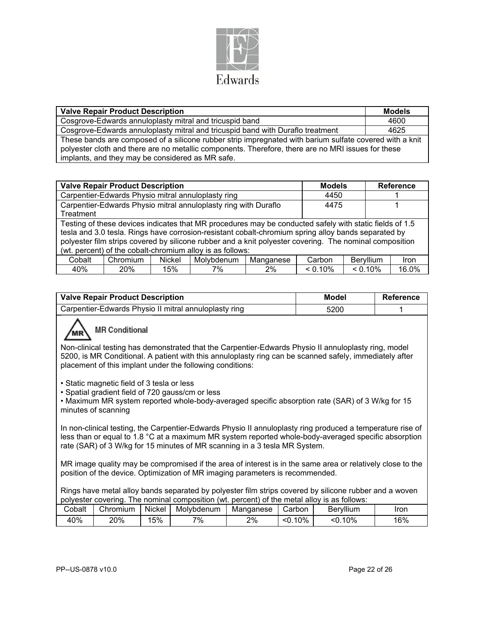

| <b>Valve Repair Product Description</b>                                                                                                                                                                                                                           | <b>Models</b> |
|-------------------------------------------------------------------------------------------------------------------------------------------------------------------------------------------------------------------------------------------------------------------|---------------|
| Cosgrove-Edwards annuloplasty mitral and tricuspid band                                                                                                                                                                                                           | 4600          |
| Cosgrove-Edwards annuloplasty mitral and tricuspid band with Duraflo treatment                                                                                                                                                                                    | 4625          |
| These bands are composed of a silicone rubber strip impregnated with barium sulfate covered with a knit<br>polyester cloth and there are no metallic components. Therefore, there are no MRI issues for these<br>implants, and they may be considered as MR safe. |               |

|                                                                 | <b>Valve Repair Product Description</b>                                                                 | <b>Models</b> |                                                                                                         | <b>Reference</b> |            |            |             |  |  |
|-----------------------------------------------------------------|---------------------------------------------------------------------------------------------------------|---------------|---------------------------------------------------------------------------------------------------------|------------------|------------|------------|-------------|--|--|
|                                                                 | Carpentier-Edwards Physio mitral annuloplasty ring                                                      | 4450          |                                                                                                         |                  |            |            |             |  |  |
| Carpentier-Edwards Physio mitral annuloplasty ring with Duraflo |                                                                                                         |               |                                                                                                         |                  |            |            |             |  |  |
| Treatment                                                       |                                                                                                         |               |                                                                                                         |                  |            |            |             |  |  |
|                                                                 | Testing of these devices indicates that MR procedures may be conducted safely with static fields of 1.5 |               |                                                                                                         |                  |            |            |             |  |  |
|                                                                 |                                                                                                         |               | tesla and 3.0 tesla. Rings have corrosion-resistant cobalt-chromium spring alloy bands separated by     |                  |            |            |             |  |  |
|                                                                 |                                                                                                         |               | polyester film strips covered by silicone rubber and a knit polyester covering. The nominal composition |                  |            |            |             |  |  |
|                                                                 |                                                                                                         |               | (wt. percent) of the cobalt-chromium alloy is as follows:                                               |                  |            |            |             |  |  |
| Cobalt                                                          | Chromium                                                                                                | Nickel        | Molybdenum                                                                                              | Manganese        | Carbon     | Beryllium  | <b>Iron</b> |  |  |
| 40%                                                             | 20%                                                                                                     | 15%           | 7%                                                                                                      | 2%               | $< 0.10\%$ | $< 0.10\%$ | 16.0%       |  |  |

| <b>Valve Repair Product Description</b>               | Model | Reference |
|-------------------------------------------------------|-------|-----------|
| Carpentier-Edwards Physio II mitral annuloplasty ring | 5200  |           |

# **MR Conditional**

Non-clinical testing has demonstrated that the Carpentier-Edwards Physio II annuloplasty ring, model 5200, is MR Conditional. A patient with this annuloplasty ring can be scanned safely, immediately after placement of this implant under the following conditions:

• Static magnetic field of 3 tesla or less

• Spatial gradient field of 720 gauss/cm or less

• Maximum MR system reported whole-body-averaged specific absorption rate (SAR) of 3 W/kg for 15 minutes of scanning

In non-clinical testing, the Carpentier-Edwards Physio II annuloplasty ring produced a temperature rise of less than or equal to 1.8 °C at a maximum MR system reported whole-body-averaged specific absorption rate (SAR) of 3 W/kg for 15 minutes of MR scanning in a 3 tesla MR System.

MR image quality may be compromised if the area of interest is in the same area or relatively close to the position of the device. Optimization of MR imaging parameters is recommended.

Rings have metal alloy bands separated by polyester film strips covered by silicone rubber and a woven polyester covering. The nominal composition (wt. percent) of the metal alloy is as follows:

| Cobalt | Chromium | Nickel | Molvbdenum | Manganese | Carbon     | Beryllium   | Iron |
|--------|----------|--------|------------|-----------|------------|-------------|------|
| 40%    | 20%      | 15%    | 7%         | 2%        | 10%<br><0. | 10%<br>< 0. | 16%  |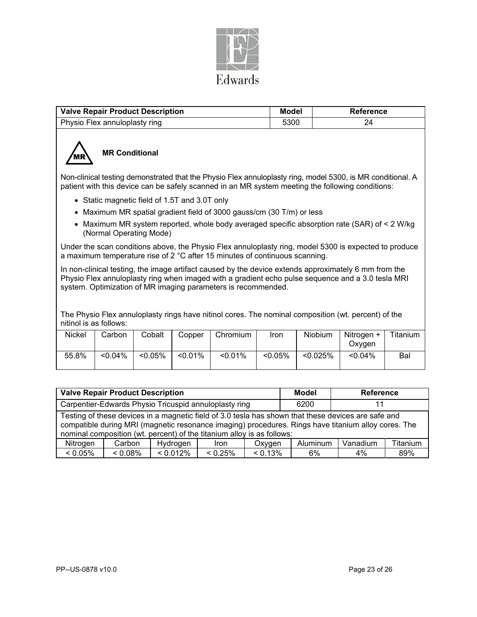

| <b>Valve Repair Product Description</b> | Model | Reference |
|-----------------------------------------|-------|-----------|
| Physio Flex annuloplasty ring           | 5300  | 24        |



# **MR Conditional**

Non-clinical testing demonstrated that the Physio Flex annuloplasty ring, model 5300, is MR conditional. A patient with this device can be safely scanned in an MR system meeting the following conditions:

- Static magnetic field of 1.5T and 3.0T only
- Maximum MR spatial gradient field of 3000 gauss/cm (30 T/m) or less
- Maximum MR system reported, whole body averaged specific absorption rate (SAR) of < 2 W/kg (Normal Operating Mode)

Under the scan conditions above, the Physio Flex annuloplasty ring, model 5300 is expected to produce a maximum temperature rise of 2 °C after 15 minutes of continuous scanning.

In non-clinical testing, the image artifact caused by the device extends approximately 6 mm from the Physio Flex annuloplasty ring when imaged with a gradient echo pulse sequence and a 3.0 tesla MRI system. Optimization of MR imaging parameters is recommended.

The Physio Flex annuloplasty rings have nitinol cores. The nominal composition (wt. percent) of the nitinol is as follows:

| Nickel | Carbon     | Cobalt     | Copper     | Chromium | Iron       | Niobium     | Nitrogen +<br>Oxvgen | Titanium |
|--------|------------|------------|------------|----------|------------|-------------|----------------------|----------|
| 55.8%  | $< 0.04\%$ | $< 0.05\%$ | $< 0.01\%$ | < 0.01%  | $< 0.05\%$ | $< 0.025\%$ | $< 0.04\%$           | Bal      |

| <b>Valve Repair Product Description</b>                                                                                                                                                                                                                                              |            |          |            |            | Model    | <b>Reference</b> |          |
|--------------------------------------------------------------------------------------------------------------------------------------------------------------------------------------------------------------------------------------------------------------------------------------|------------|----------|------------|------------|----------|------------------|----------|
| Carpentier-Edwards Physio Tricuspid annuloplasty ring                                                                                                                                                                                                                                |            |          |            |            | 6200     |                  |          |
| Testing of these devices in a magnetic field of 3.0 tesla has shown that these devices are safe and<br>compatible during MRI (magnetic resonance imaging) procedures. Rings have titanium alloy cores. The<br>nominal composition (wt. percent) of the titanium alloy is as follows: |            |          |            |            |          |                  |          |
| Nitrogen                                                                                                                                                                                                                                                                             | Carbon     | Hydrogen | Iron       | Oxygen     | Aluminum | Vanadium         | Titanium |
| $< 0.05\%$                                                                                                                                                                                                                                                                           | $< 0.08\%$ | < 0.012% | $< 0.25\%$ | $< 0.13\%$ | 6%       | 4%               | 89%      |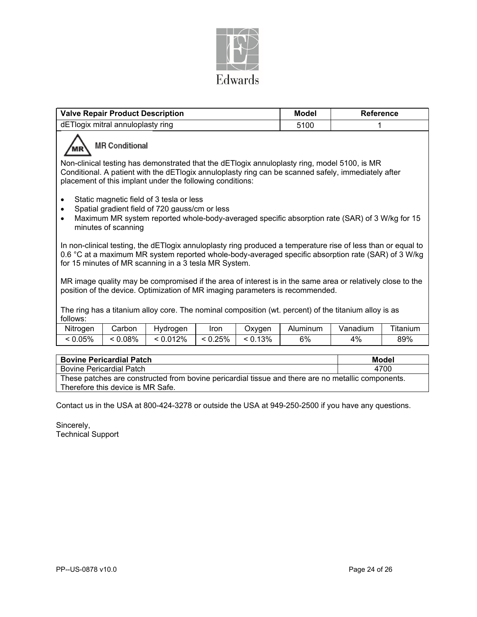

| <b>Valve Repair Product Description</b>                                                                                                                                                                                                                                      |                       |          | <b>Model</b> | <b>Reference</b> |                 |          |          |
|------------------------------------------------------------------------------------------------------------------------------------------------------------------------------------------------------------------------------------------------------------------------------|-----------------------|----------|--------------|------------------|-----------------|----------|----------|
| dETlogix mitral annuloplasty ring                                                                                                                                                                                                                                            |                       |          |              |                  | 5100            |          |          |
|                                                                                                                                                                                                                                                                              | <b>MR Conditional</b> |          |              |                  |                 |          |          |
| Non-clinical testing has demonstrated that the dETlogix annuloplasty ring, model 5100, is MR<br>Conditional. A patient with the dETlogix annuloplasty ring can be scanned safely, immediately after<br>placement of this implant under the following conditions:             |                       |          |              |                  |                 |          |          |
| Static magnetic field of 3 tesla or less<br>Spatial gradient field of 720 gauss/cm or less<br>$\bullet$<br>Maximum MR system reported whole-body-averaged specific absorption rate (SAR) of 3 W/kg for 15<br>$\bullet$<br>minutes of scanning                                |                       |          |              |                  |                 |          |          |
| In non-clinical testing, the dETIogix annuloplasty ring produced a temperature rise of less than or equal to<br>0.6 °C at a maximum MR system reported whole-body-averaged specific absorption rate (SAR) of 3 W/kg<br>for 15 minutes of MR scanning in a 3 tesla MR System. |                       |          |              |                  |                 |          |          |
| MR image quality may be compromised if the area of interest is in the same area or relatively close to the<br>position of the device. Optimization of MR imaging parameters is recommended.                                                                                  |                       |          |              |                  |                 |          |          |
| The ring has a titanium alloy core. The nominal composition (wt. percent) of the titanium alloy is as<br>follows:                                                                                                                                                            |                       |          |              |                  |                 |          |          |
| Nitroαen                                                                                                                                                                                                                                                                     | C <sub>arhon</sub>    | Hydrogen | lron.        | Oxygen           | <b>Aluminum</b> | Vanadium | Titanium |

| Nitrogen | .arbonث | Hvdroaen | Iror  | Oxvaen | Aluminum | Vanadium | ---<br>∣itanıum |
|----------|---------|----------|-------|--------|----------|----------|-----------------|
| 0.05%    | 0.08%   | < 0.012% | 0.25% | 13%    | 6%       | 4%       | 89%             |

| <b>Bovine Pericardial Patch</b>                                                                    | Model |  |  |  |  |
|----------------------------------------------------------------------------------------------------|-------|--|--|--|--|
| <b>Bovine Pericardial Patch</b>                                                                    | 4700  |  |  |  |  |
| These patches are constructed from bovine pericardial tissue and there are no metallic components. |       |  |  |  |  |
| Therefore this device is MR Safe.                                                                  |       |  |  |  |  |

Contact us in the USA at 800-424-3278 or outside the USA at 949-250-2500 if you have any questions.

Sincerely, Technical Support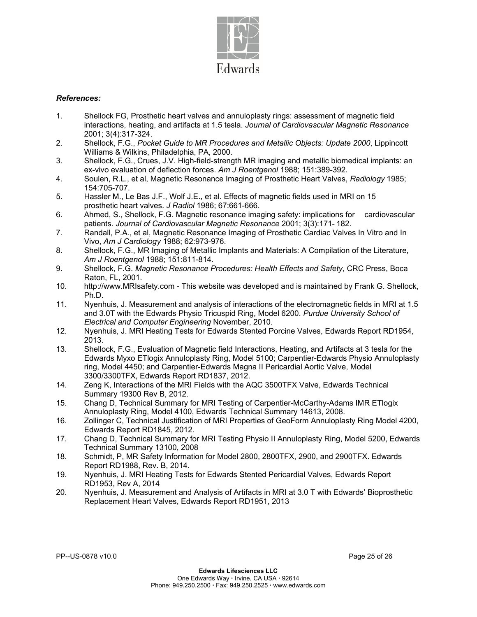

## *References:*

- 1. Shellock FG, Prosthetic heart valves and annuloplasty rings: assessment of magnetic field interactions, heating, and artifacts at 1.5 tesla. *Journal of Cardiovascular Magnetic Resonance*  2001; 3(4):317-324.
- 2. Shellock, F.G., *Pocket Guide to MR Procedures and Metallic Objects: Update 2000*, Lippincott Williams & Wilkins, Philadelphia, PA, 2000.
- 3. Shellock, F.G., Crues, J.V. High-field-strength MR imaging and metallic biomedical implants: an ex-vivo evaluation of deflection forces. *Am J Roentgenol* 1988; 151:389-392.
- 4. Soulen, R.L., et al, Magnetic Resonance Imaging of Prosthetic Heart Valves, *Radiology* 1985; 154:705-707.
- 5. Hassler M., Le Bas J.F., Wolf J.E., et al. Effects of magnetic fields used in MRI on 15 prosthetic heart valves. *J Radiol* 1986; 67:661-666.
- 6. Ahmed, S., Shellock, F.G. Magnetic resonance imaging safety: implications for cardiovascular patients. *Journal of Cardiovascular Magnetic Resonance* 2001; 3(3):171- 182.
- 7. Randall, P.A., et al, Magnetic Resonance Imaging of Prosthetic Cardiac Valves In Vitro and In Vivo, *Am J Cardiology* 1988; 62:973-976.
- 8. Shellock, F.G., MR Imaging of Metallic Implants and Materials: A Compilation of the Literature, *Am J Roentgenol* 1988; 151:811-814.
- 9. Shellock, F.G. *Magnetic Resonance Procedures: Health Effects and Safety*, CRC Press, Boca Raton, FL, 2001.
- 10. http://www.MRIsafety.com This website was developed and is maintained by Frank G. Shellock, Ph.D.
- 11. Nyenhuis, J. Measurement and analysis of interactions of the electromagnetic fields in MRI at 1.5 and 3.0T with the Edwards Physio Tricuspid Ring, Model 6200. *Purdue University School of Electrical and Computer Engineering* November, 2010.
- 12. Nyenhuis, J. MRI Heating Tests for Edwards Stented Porcine Valves, Edwards Report RD1954, 2013.
- 13. Shellock, F.G., Evaluation of Magnetic field Interactions, Heating, and Artifacts at 3 tesla for the Edwards Myxo ETlogix Annuloplasty Ring, Model 5100; Carpentier-Edwards Physio Annuloplasty ring, Model 4450; and Carpentier-Edwards Magna II Pericardial Aortic Valve, Model 3300/3300TFX, Edwards Report RD1837, 2012.
- 14. Zeng K, Interactions of the MRI Fields with the AQC 3500TFX Valve, Edwards Technical Summary 19300 Rev B, 2012.
- 15. Chang D, Technical Summary for MRI Testing of Carpentier-McCarthy-Adams IMR ETlogix Annuloplasty Ring, Model 4100, Edwards Technical Summary 14613, 2008.
- 16. Zollinger C, Technical Justification of MRI Properties of GeoForm Annuloplasty Ring Model 4200, Edwards Report RD1845, 2012.
- 17. Chang D, Technical Summary for MRI Testing Physio II Annuloplasty Ring, Model 5200, Edwards Technical Summary 13100, 2008
- 18. Schmidt, P, MR Safety Information for Model 2800, 2800TFX, 2900, and 2900TFX. Edwards Report RD1988, Rev. B, 2014.
- 19. Nyenhuis, J. MRI Heating Tests for Edwards Stented Pericardial Valves, Edwards Report RD1953, Rev A, 2014
- 20. Nyenhuis, J. Measurement and Analysis of Artifacts in MRI at 3.0 T with Edwards' Bioprosthetic Replacement Heart Valves, Edwards Report RD1951, 2013